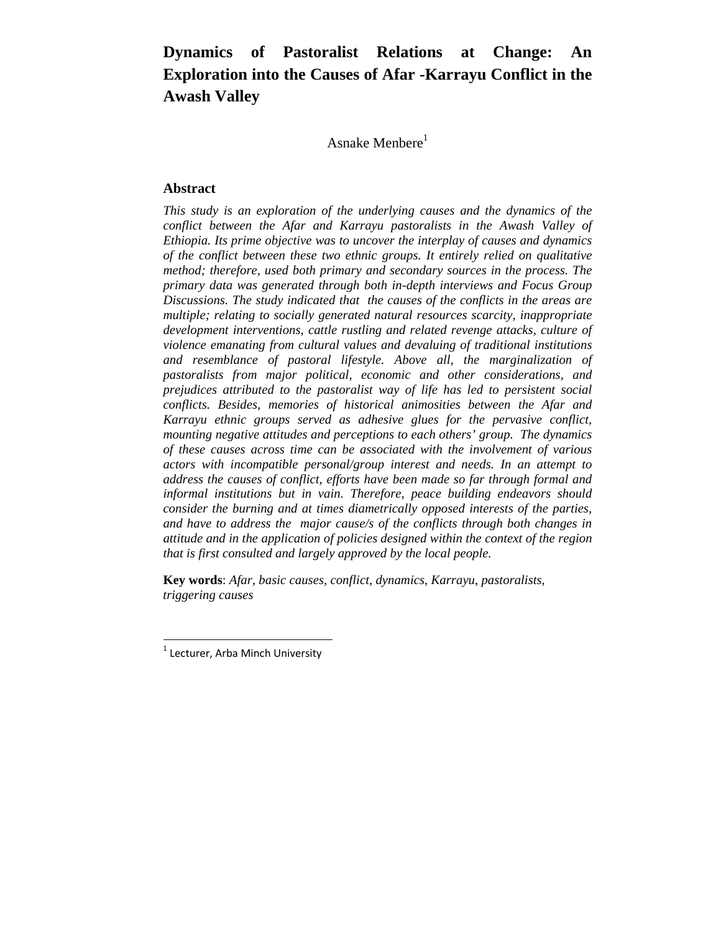# **Dynamics of Pastoralist Relations at Change: An Exploration into the Causes of Afar -Karrayu Conflict in the Awash Valley**

Asnake Menbere $<sup>1</sup>$ </sup>

# **Abstract**

*This study is an exploration of the underlying causes and the dynamics of the conflict between the Afar and Karrayu pastoralists in the Awash Valley of Ethiopia. Its prime objective was to uncover the interplay of causes and dynamics of the conflict between these two ethnic groups. It entirely relied on qualitative method; therefore, used both primary and secondary sources in the process. The primary data was generated through both in-depth interviews and Focus Group Discussions. The study indicated that the causes of the conflicts in the areas are multiple; relating to socially generated natural resources scarcity, inappropriate development interventions, cattle rustling and related revenge attacks, culture of violence emanating from cultural values and devaluing of traditional institutions and resemblance of pastoral lifestyle. Above all, the marginalization of pastoralists from major political, economic and other considerations, and prejudices attributed to the pastoralist way of life has led to persistent social conflicts. Besides, memories of historical animosities between the Afar and Karrayu ethnic groups served as adhesive glues for the pervasive conflict, mounting negative attitudes and perceptions to each others' group. The dynamics of these causes across time can be associated with the involvement of various actors with incompatible personal/group interest and needs. In an attempt to address the causes of conflict, efforts have been made so far through formal and informal institutions but in vain. Therefore, peace building endeavors should consider the burning and at times diametrically opposed interests of the parties, and have to address the major cause/s of the conflicts through both changes in attitude and in the application of policies designed within the context of the region that is first consulted and largely approved by the local people.* 

**Key words**: *Afar, basic causes, conflict, dynamics, Karrayu*, *pastoralists, triggering causes* 

  $1$  Lecturer, Arba Minch University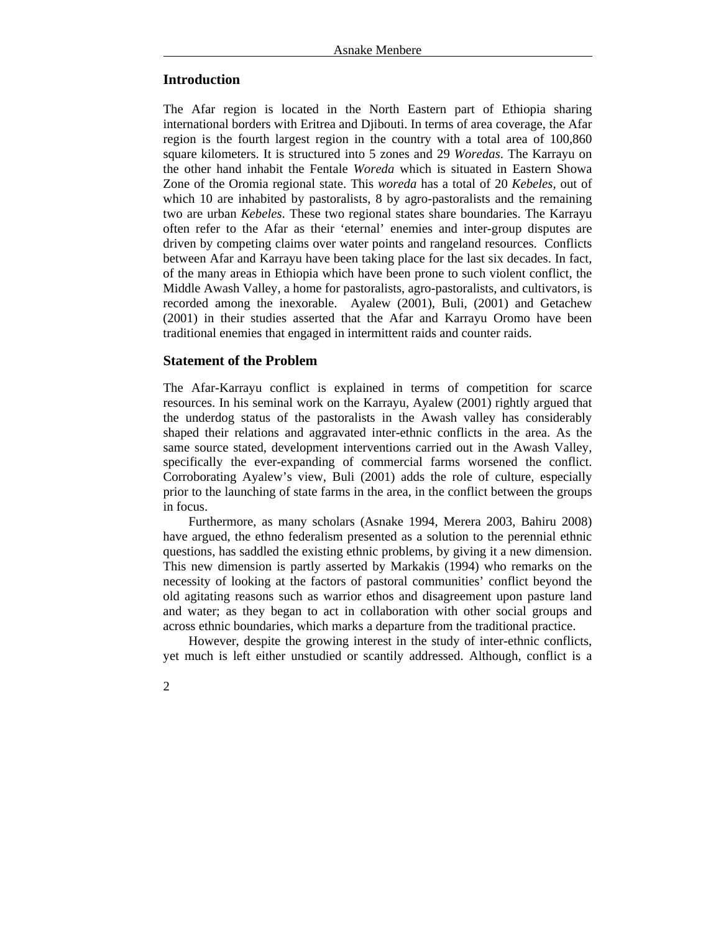# **Introduction**

The Afar region is located in the North Eastern part of Ethiopia sharing international borders with Eritrea and Djibouti. In terms of area coverage, the Afar region is the fourth largest region in the country with a total area of 100,860 square kilometers. It is structured into 5 zones and 29 *Woredas*. The Karrayu on the other hand inhabit the Fentale *Woreda* which is situated in Eastern Showa Zone of the Oromia regional state. This *woreda* has a total of 20 *Kebeles,* out of which 10 are inhabited by pastoralists, 8 by agro-pastoralists and the remaining two are urban *Kebeles*. These two regional states share boundaries. The Karrayu often refer to the Afar as their 'eternal' enemies and inter-group disputes are driven by competing claims over water points and rangeland resources. Conflicts between Afar and Karrayu have been taking place for the last six decades. In fact, of the many areas in Ethiopia which have been prone to such violent conflict, the Middle Awash Valley, a home for pastoralists, agro-pastoralists, and cultivators, is recorded among the inexorable. Ayalew (2001), Buli, (2001) and Getachew (2001) in their studies asserted that the Afar and Karrayu Oromo have been traditional enemies that engaged in intermittent raids and counter raids.

## **Statement of the Problem**

The Afar-Karrayu conflict is explained in terms of competition for scarce resources. In his seminal work on the Karrayu, Ayalew (2001) rightly argued that the underdog status of the pastoralists in the Awash valley has considerably shaped their relations and aggravated inter-ethnic conflicts in the area. As the same source stated, development interventions carried out in the Awash Valley, specifically the ever-expanding of commercial farms worsened the conflict. Corroborating Ayalew's view, Buli (2001) adds the role of culture, especially prior to the launching of state farms in the area, in the conflict between the groups in focus.

Furthermore, as many scholars (Asnake 1994, Merera 2003, Bahiru 2008) have argued, the ethno federalism presented as a solution to the perennial ethnic questions, has saddled the existing ethnic problems, by giving it a new dimension. This new dimension is partly asserted by Markakis (1994) who remarks on the necessity of looking at the factors of pastoral communities' conflict beyond the old agitating reasons such as warrior ethos and disagreement upon pasture land and water; as they began to act in collaboration with other social groups and across ethnic boundaries, which marks a departure from the traditional practice.

However, despite the growing interest in the study of inter-ethnic conflicts, yet much is left either unstudied or scantily addressed. Although, conflict is a

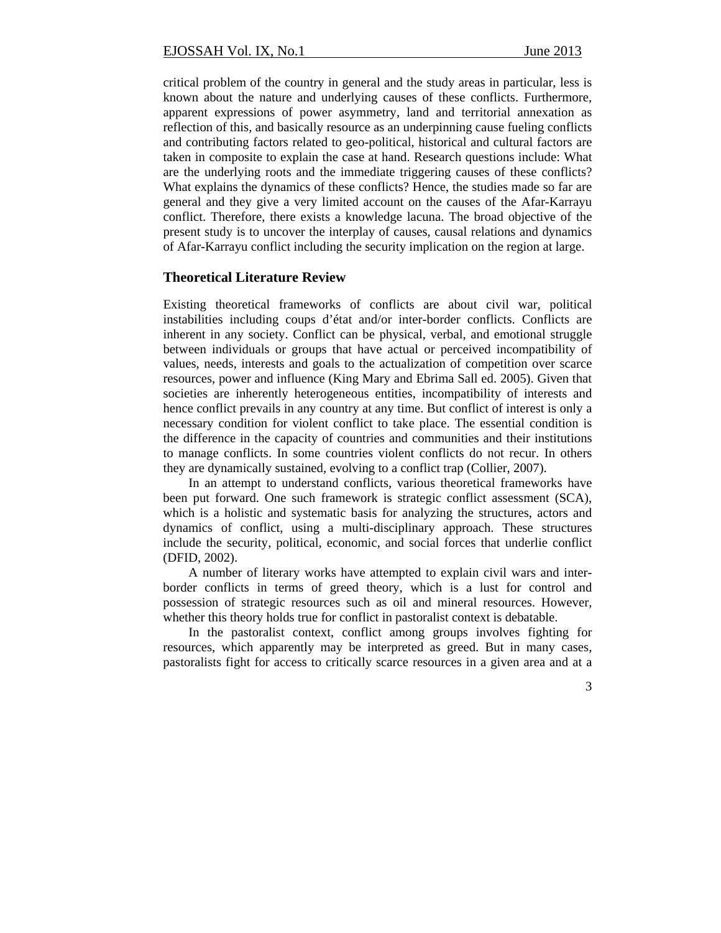critical problem of the country in general and the study areas in particular, less is known about the nature and underlying causes of these conflicts. Furthermore, apparent expressions of power asymmetry, land and territorial annexation as reflection of this, and basically resource as an underpinning cause fueling conflicts and contributing factors related to geo-political, historical and cultural factors are taken in composite to explain the case at hand. Research questions include: What are the underlying roots and the immediate triggering causes of these conflicts? What explains the dynamics of these conflicts? Hence, the studies made so far are general and they give a very limited account on the causes of the Afar-Karrayu conflict. Therefore, there exists a knowledge lacuna. The broad objective of the present study is to uncover the interplay of causes, causal relations and dynamics of Afar-Karrayu conflict including the security implication on the region at large.

#### **Theoretical Literature Review**

Existing theoretical frameworks of conflicts are about civil war, political instabilities including coups d'état and/or inter-border conflicts. Conflicts are inherent in any society. Conflict can be physical, verbal, and emotional struggle between individuals or groups that have actual or perceived incompatibility of values, needs, interests and goals to the actualization of competition over scarce resources, power and influence (King Mary and Ebrima Sall ed. 2005). Given that societies are inherently heterogeneous entities, incompatibility of interests and hence conflict prevails in any country at any time. But conflict of interest is only a necessary condition for violent conflict to take place. The essential condition is the difference in the capacity of countries and communities and their institutions to manage conflicts. In some countries violent conflicts do not recur. In others they are dynamically sustained, evolving to a conflict trap (Collier, 2007).

In an attempt to understand conflicts, various theoretical frameworks have been put forward. One such framework is strategic conflict assessment (SCA), which is a holistic and systematic basis for analyzing the structures, actors and dynamics of conflict, using a multi-disciplinary approach. These structures include the security, political, economic, and social forces that underlie conflict (DFID, 2002).

A number of literary works have attempted to explain civil wars and interborder conflicts in terms of greed theory, which is a lust for control and possession of strategic resources such as oil and mineral resources. However, whether this theory holds true for conflict in pastoralist context is debatable.

In the pastoralist context, conflict among groups involves fighting for resources, which apparently may be interpreted as greed. But in many cases, pastoralists fight for access to critically scarce resources in a given area and at a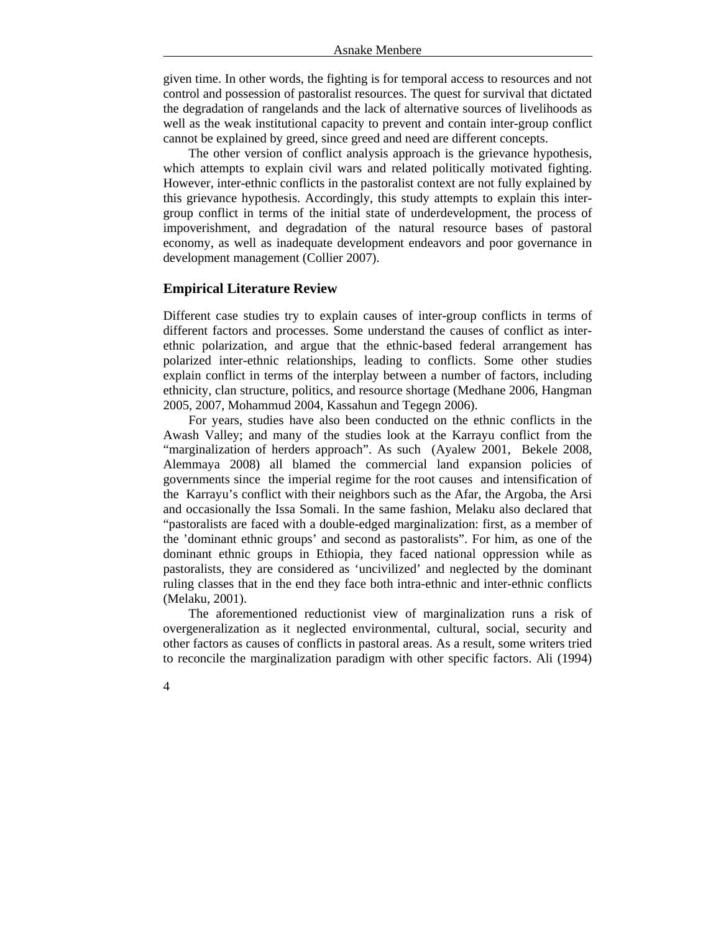given time. In other words, the fighting is for temporal access to resources and not control and possession of pastoralist resources. The quest for survival that dictated the degradation of rangelands and the lack of alternative sources of livelihoods as well as the weak institutional capacity to prevent and contain inter-group conflict cannot be explained by greed, since greed and need are different concepts.

The other version of conflict analysis approach is the grievance hypothesis, which attempts to explain civil wars and related politically motivated fighting. However, inter-ethnic conflicts in the pastoralist context are not fully explained by this grievance hypothesis. Accordingly, this study attempts to explain this intergroup conflict in terms of the initial state of underdevelopment, the process of impoverishment, and degradation of the natural resource bases of pastoral economy, as well as inadequate development endeavors and poor governance in development management (Collier 2007).

# **Empirical Literature Review**

4

Different case studies try to explain causes of inter-group conflicts in terms of different factors and processes. Some understand the causes of conflict as interethnic polarization, and argue that the ethnic-based federal arrangement has polarized inter-ethnic relationships, leading to conflicts. Some other studies explain conflict in terms of the interplay between a number of factors, including ethnicity, clan structure, politics, and resource shortage (Medhane 2006, Hangman 2005, 2007, Mohammud 2004, Kassahun and Tegegn 2006).

For years, studies have also been conducted on the ethnic conflicts in the Awash Valley; and many of the studies look at the Karrayu conflict from the "marginalization of herders approach". As such (Ayalew 2001, Bekele 2008, Alemmaya 2008) all blamed the commercial land expansion policies of governments since the imperial regime for the root causes and intensification of the Karrayu's conflict with their neighbors such as the Afar, the Argoba, the Arsi and occasionally the Issa Somali. In the same fashion, Melaku also declared that "pastoralists are faced with a double-edged marginalization: first, as a member of the 'dominant ethnic groups' and second as pastoralists". For him, as one of the dominant ethnic groups in Ethiopia, they faced national oppression while as pastoralists, they are considered as 'uncivilized' and neglected by the dominant ruling classes that in the end they face both intra-ethnic and inter-ethnic conflicts (Melaku, 2001).

The aforementioned reductionist view of marginalization runs a risk of overgeneralization as it neglected environmental, cultural, social, security and other factors as causes of conflicts in pastoral areas. As a result, some writers tried to reconcile the marginalization paradigm with other specific factors. Ali (1994)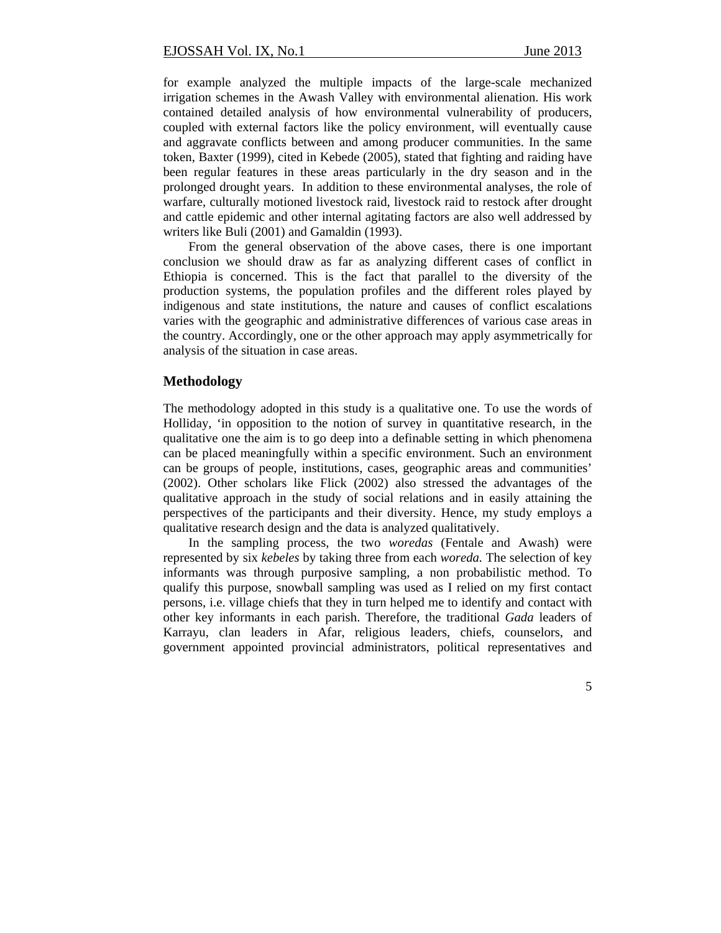for example analyzed the multiple impacts of the large-scale mechanized irrigation schemes in the Awash Valley with environmental alienation. His work contained detailed analysis of how environmental vulnerability of producers, coupled with external factors like the policy environment, will eventually cause and aggravate conflicts between and among producer communities. In the same token, Baxter (1999), cited in Kebede (2005), stated that fighting and raiding have been regular features in these areas particularly in the dry season and in the prolonged drought years. In addition to these environmental analyses, the role of warfare, culturally motioned livestock raid, livestock raid to restock after drought and cattle epidemic and other internal agitating factors are also well addressed by writers like Buli (2001) and Gamaldin (1993).

From the general observation of the above cases, there is one important conclusion we should draw as far as analyzing different cases of conflict in Ethiopia is concerned. This is the fact that parallel to the diversity of the production systems, the population profiles and the different roles played by indigenous and state institutions, the nature and causes of conflict escalations varies with the geographic and administrative differences of various case areas in the country. Accordingly, one or the other approach may apply asymmetrically for analysis of the situation in case areas.

# **Methodology**

The methodology adopted in this study is a qualitative one. To use the words of Holliday, 'in opposition to the notion of survey in quantitative research, in the qualitative one the aim is to go deep into a definable setting in which phenomena can be placed meaningfully within a specific environment. Such an environment can be groups of people, institutions, cases, geographic areas and communities' (2002). Other scholars like Flick (2002) also stressed the advantages of the qualitative approach in the study of social relations and in easily attaining the perspectives of the participants and their diversity. Hence, my study employs a qualitative research design and the data is analyzed qualitatively.

In the sampling process, the two *woredas* (Fentale and Awash) were represented by six *kebeles* by taking three from each *woreda.* The selection of key informants was through purposive sampling, a non probabilistic method. To qualify this purpose, snowball sampling was used as I relied on my first contact persons, i.e. village chiefs that they in turn helped me to identify and contact with other key informants in each parish. Therefore, the traditional *Gada* leaders of Karrayu, clan leaders in Afar, religious leaders, chiefs, counselors, and government appointed provincial administrators, political representatives and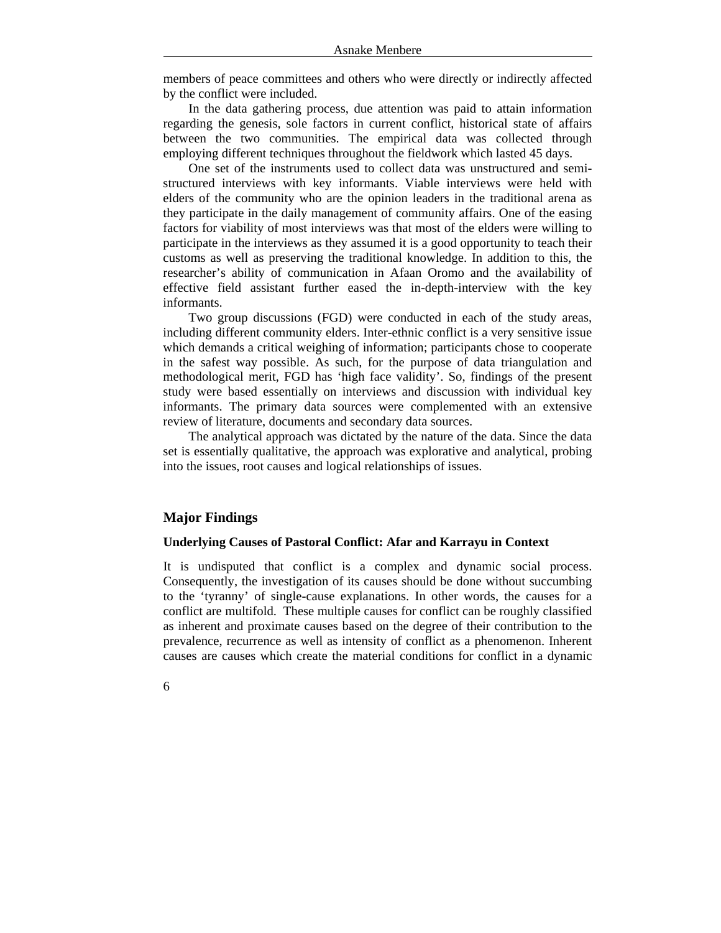members of peace committees and others who were directly or indirectly affected by the conflict were included.

In the data gathering process, due attention was paid to attain information regarding the genesis, sole factors in current conflict, historical state of affairs between the two communities. The empirical data was collected through employing different techniques throughout the fieldwork which lasted 45 days.

One set of the instruments used to collect data was unstructured and semistructured interviews with key informants. Viable interviews were held with elders of the community who are the opinion leaders in the traditional arena as they participate in the daily management of community affairs. One of the easing factors for viability of most interviews was that most of the elders were willing to participate in the interviews as they assumed it is a good opportunity to teach their customs as well as preserving the traditional knowledge. In addition to this, the researcher's ability of communication in Afaan Oromo and the availability of effective field assistant further eased the in-depth-interview with the key informants.

Two group discussions (FGD) were conducted in each of the study areas, including different community elders. Inter-ethnic conflict is a very sensitive issue which demands a critical weighing of information; participants chose to cooperate in the safest way possible. As such, for the purpose of data triangulation and methodological merit, FGD has 'high face validity'. So, findings of the present study were based essentially on interviews and discussion with individual key informants. The primary data sources were complemented with an extensive review of literature, documents and secondary data sources.

The analytical approach was dictated by the nature of the data. Since the data set is essentially qualitative, the approach was explorative and analytical, probing into the issues, root causes and logical relationships of issues.

# **Major Findings**

#### **Underlying Causes of Pastoral Conflict: Afar and Karrayu in Context**

It is undisputed that conflict is a complex and dynamic social process. Consequently, the investigation of its causes should be done without succumbing to the 'tyranny' of single-cause explanations. In other words, the causes for a conflict are multifold. These multiple causes for conflict can be roughly classified as inherent and proximate causes based on the degree of their contribution to the prevalence, recurrence as well as intensity of conflict as a phenomenon. Inherent causes are causes which create the material conditions for conflict in a dynamic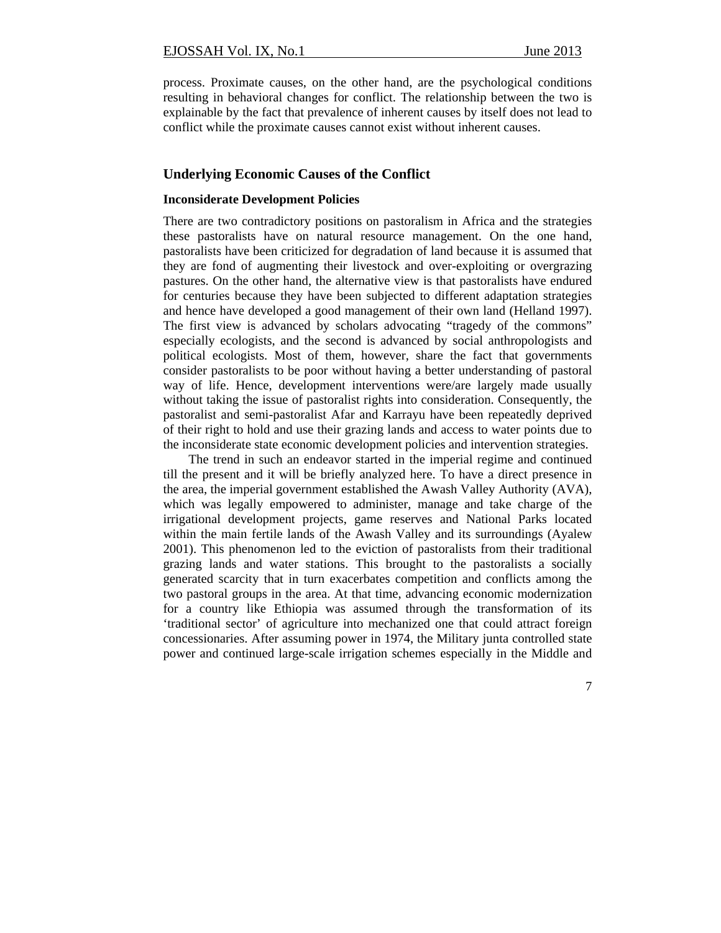process. Proximate causes, on the other hand, are the psychological conditions resulting in behavioral changes for conflict. The relationship between the two is explainable by the fact that prevalence of inherent causes by itself does not lead to conflict while the proximate causes cannot exist without inherent causes.

# **Underlying Economic Causes of the Conflict**

## **Inconsiderate Development Policies**

There are two contradictory positions on pastoralism in Africa and the strategies these pastoralists have on natural resource management. On the one hand, pastoralists have been criticized for degradation of land because it is assumed that they are fond of augmenting their livestock and over-exploiting or overgrazing pastures. On the other hand, the alternative view is that pastoralists have endured for centuries because they have been subjected to different adaptation strategies and hence have developed a good management of their own land (Helland 1997). The first view is advanced by scholars advocating "tragedy of the commons" especially ecologists, and the second is advanced by social anthropologists and political ecologists. Most of them, however, share the fact that governments consider pastoralists to be poor without having a better understanding of pastoral way of life. Hence, development interventions were/are largely made usually without taking the issue of pastoralist rights into consideration. Consequently, the pastoralist and semi-pastoralist Afar and Karrayu have been repeatedly deprived of their right to hold and use their grazing lands and access to water points due to the inconsiderate state economic development policies and intervention strategies.

The trend in such an endeavor started in the imperial regime and continued till the present and it will be briefly analyzed here. To have a direct presence in the area, the imperial government established the Awash Valley Authority (AVA), which was legally empowered to administer, manage and take charge of the irrigational development projects, game reserves and National Parks located within the main fertile lands of the Awash Valley and its surroundings (Ayalew 2001). This phenomenon led to the eviction of pastoralists from their traditional grazing lands and water stations. This brought to the pastoralists a socially generated scarcity that in turn exacerbates competition and conflicts among the two pastoral groups in the area. At that time, advancing economic modernization for a country like Ethiopia was assumed through the transformation of its 'traditional sector' of agriculture into mechanized one that could attract foreign concessionaries. After assuming power in 1974, the Military junta controlled state power and continued large-scale irrigation schemes especially in the Middle and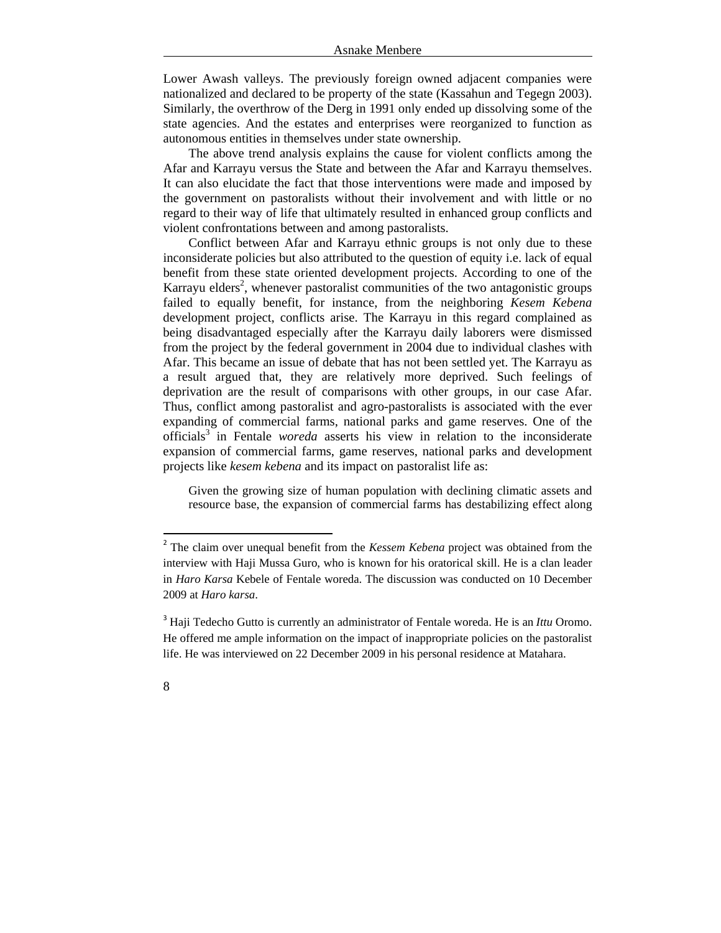Lower Awash valleys. The previously foreign owned adjacent companies were nationalized and declared to be property of the state (Kassahun and Tegegn 2003). Similarly, the overthrow of the Derg in 1991 only ended up dissolving some of the state agencies. And the estates and enterprises were reorganized to function as autonomous entities in themselves under state ownership.

The above trend analysis explains the cause for violent conflicts among the Afar and Karrayu versus the State and between the Afar and Karrayu themselves. It can also elucidate the fact that those interventions were made and imposed by the government on pastoralists without their involvement and with little or no regard to their way of life that ultimately resulted in enhanced group conflicts and violent confrontations between and among pastoralists.

Conflict between Afar and Karrayu ethnic groups is not only due to these inconsiderate policies but also attributed to the question of equity i.e. lack of equal benefit from these state oriented development projects. According to one of the Karrayu elders<sup>2</sup>, whenever pastoralist communities of the two antagonistic groups failed to equally benefit, for instance, from the neighboring *Kesem Kebena* development project, conflicts arise. The Karrayu in this regard complained as being disadvantaged especially after the Karrayu daily laborers were dismissed from the project by the federal government in 2004 due to individual clashes with Afar. This became an issue of debate that has not been settled yet. The Karrayu as a result argued that, they are relatively more deprived. Such feelings of deprivation are the result of comparisons with other groups, in our case Afar. Thus, conflict among pastoralist and agro-pastoralists is associated with the ever expanding of commercial farms, national parks and game reserves. One of the officials<sup>3</sup> in Fentale *woreda* asserts his view in relation to the inconsiderate expansion of commercial farms, game reserves, national parks and development projects like *kesem kebena* and its impact on pastoralist life as:

Given the growing size of human population with declining climatic assets and resource base, the expansion of commercial farms has destabilizing effect along

<sup>3</sup> Haji Tedecho Gutto is currently an administrator of Fentale woreda. He is an *Ittu* Oromo. He offered me ample information on the impact of inappropriate policies on the pastoralist life. He was interviewed on 22 December 2009 in his personal residence at Matahara.



<sup>&</sup>lt;sup>2</sup> The claim over unequal benefit from the *Kessem Kebena* project was obtained from the interview with Haji Mussa Guro, who is known for his oratorical skill. He is a clan leader in *Haro Karsa* Kebele of Fentale woreda. The discussion was conducted on 10 December 2009 at *Haro karsa*.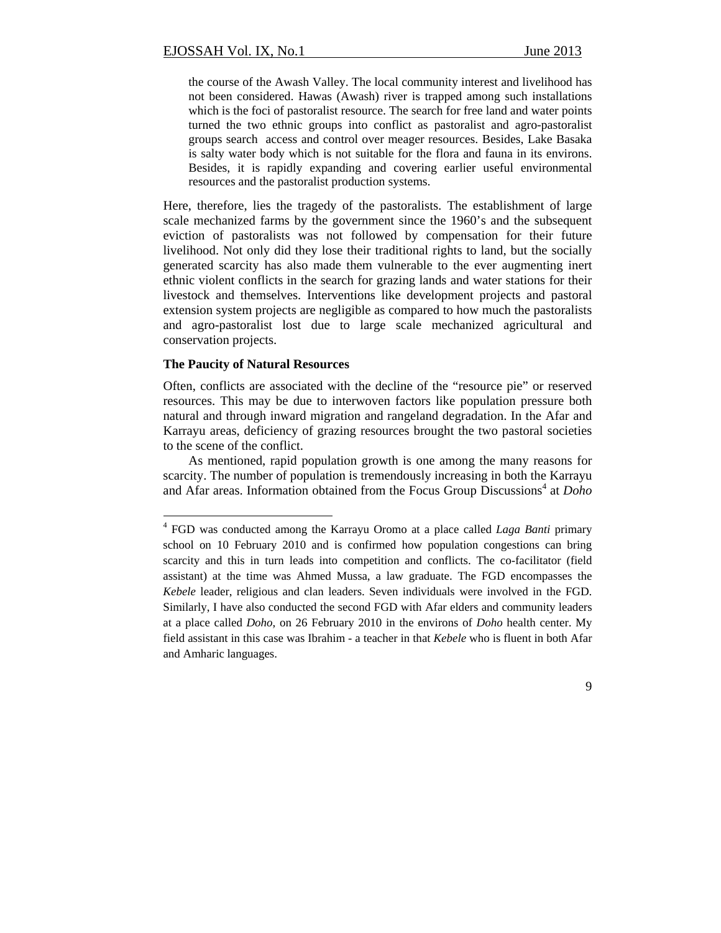the course of the Awash Valley. The local community interest and livelihood has not been considered. Hawas (Awash) river is trapped among such installations which is the foci of pastoralist resource. The search for free land and water points turned the two ethnic groups into conflict as pastoralist and agro-pastoralist groups search access and control over meager resources. Besides, Lake Basaka is salty water body which is not suitable for the flora and fauna in its environs. Besides, it is rapidly expanding and covering earlier useful environmental resources and the pastoralist production systems.

Here, therefore, lies the tragedy of the pastoralists. The establishment of large scale mechanized farms by the government since the 1960's and the subsequent eviction of pastoralists was not followed by compensation for their future livelihood. Not only did they lose their traditional rights to land, but the socially generated scarcity has also made them vulnerable to the ever augmenting inert ethnic violent conflicts in the search for grazing lands and water stations for their livestock and themselves. Interventions like development projects and pastoral extension system projects are negligible as compared to how much the pastoralists and agro-pastoralist lost due to large scale mechanized agricultural and conservation projects.

## **The Paucity of Natural Resources**

Often, conflicts are associated with the decline of the "resource pie" or reserved resources. This may be due to interwoven factors like population pressure both natural and through inward migration and rangeland degradation. In the Afar and Karrayu areas, deficiency of grazing resources brought the two pastoral societies to the scene of the conflict.

As mentioned, rapid population growth is one among the many reasons for scarcity. The number of population is tremendously increasing in both the Karrayu and Afar areas. Information obtained from the Focus Group Discussions<sup>4</sup> at *Doho* 

 4 FGD was conducted among the Karrayu Oromo at a place called *Laga Banti* primary school on 10 February 2010 and is confirmed how population congestions can bring scarcity and this in turn leads into competition and conflicts. The co-facilitator (field assistant) at the time was Ahmed Mussa, a law graduate. The FGD encompasses the *Kebele* leader, religious and clan leaders. Seven individuals were involved in the FGD. Similarly, I have also conducted the second FGD with Afar elders and community leaders at a place called *Doho*, on 26 February 2010 in the environs of *Doho* health center. My field assistant in this case was Ibrahim - a teacher in that *Kebele* who is fluent in both Afar and Amharic languages.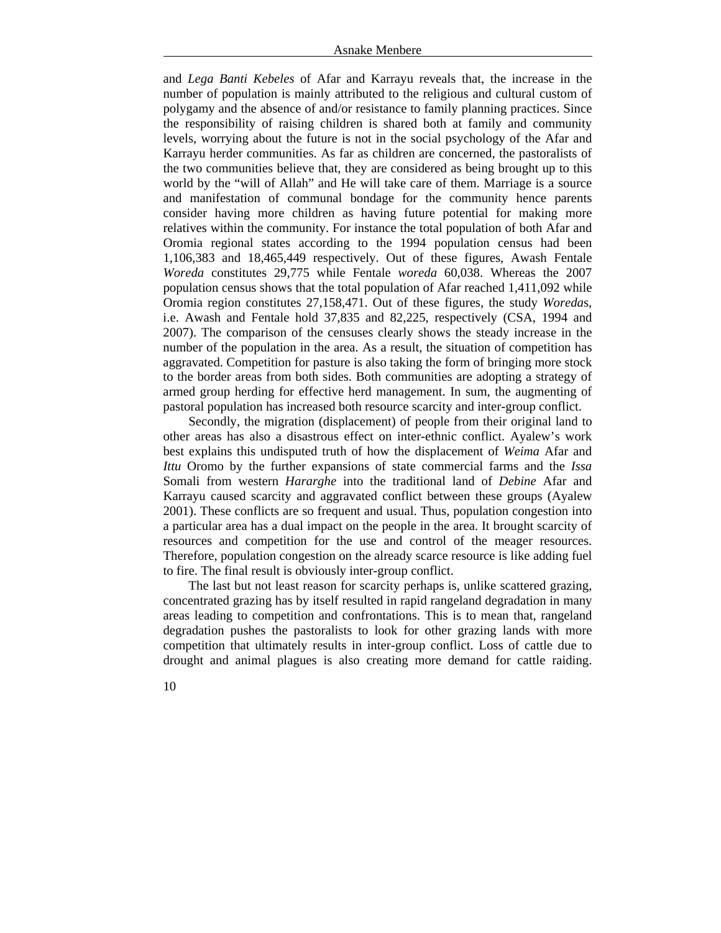and *Lega Banti Kebeles* of Afar and Karrayu reveals that, the increase in the number of population is mainly attributed to the religious and cultural custom of polygamy and the absence of and/or resistance to family planning practices. Since the responsibility of raising children is shared both at family and community levels, worrying about the future is not in the social psychology of the Afar and Karrayu herder communities. As far as children are concerned, the pastoralists of the two communities believe that, they are considered as being brought up to this world by the "will of Allah" and He will take care of them. Marriage is a source and manifestation of communal bondage for the community hence parents consider having more children as having future potential for making more relatives within the community. For instance the total population of both Afar and Oromia regional states according to the 1994 population census had been 1,106,383 and 18,465,449 respectively. Out of these figures, Awash Fentale *Woreda* constitutes 29,775 while Fentale *woreda* 60,038. Whereas the 2007 population census shows that the total population of Afar reached 1,411,092 while Oromia region constitutes 27,158,471. Out of these figures, the study *Woreda*s, i.e. Awash and Fentale hold 37,835 and 82,225, respectively (CSA, 1994 and 2007). The comparison of the censuses clearly shows the steady increase in the number of the population in the area. As a result, the situation of competition has aggravated. Competition for pasture is also taking the form of bringing more stock to the border areas from both sides. Both communities are adopting a strategy of armed group herding for effective herd management. In sum, the augmenting of pastoral population has increased both resource scarcity and inter-group conflict.

Secondly, the migration (displacement) of people from their original land to other areas has also a disastrous effect on inter-ethnic conflict. Ayalew's work best explains this undisputed truth of how the displacement of *Weima* Afar and *Ittu* Oromo by the further expansions of state commercial farms and the *Issa* Somali from western *Hararghe* into the traditional land of *Debine* Afar and Karrayu caused scarcity and aggravated conflict between these groups (Ayalew 2001). These conflicts are so frequent and usual. Thus, population congestion into a particular area has a dual impact on the people in the area. It brought scarcity of resources and competition for the use and control of the meager resources. Therefore, population congestion on the already scarce resource is like adding fuel to fire. The final result is obviously inter-group conflict.

The last but not least reason for scarcity perhaps is, unlike scattered grazing, concentrated grazing has by itself resulted in rapid rangeland degradation in many areas leading to competition and confrontations. This is to mean that, rangeland degradation pushes the pastoralists to look for other grazing lands with more competition that ultimately results in inter-group conflict. Loss of cattle due to drought and animal plagues is also creating more demand for cattle raiding.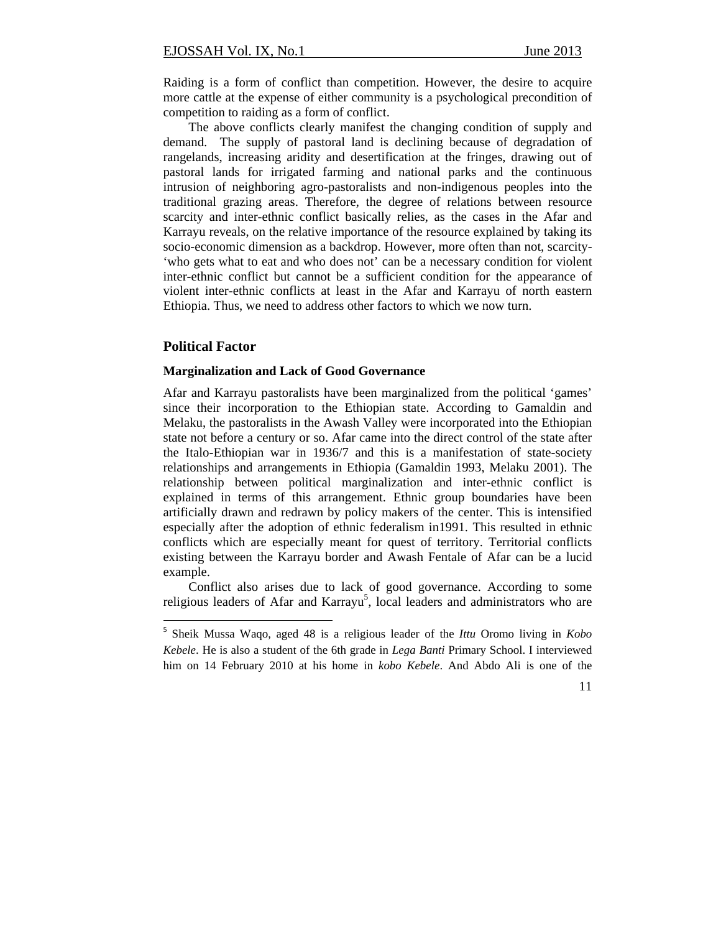Raiding is a form of conflict than competition. However, the desire to acquire more cattle at the expense of either community is a psychological precondition of competition to raiding as a form of conflict.

The above conflicts clearly manifest the changing condition of supply and demand. The supply of pastoral land is declining because of degradation of rangelands, increasing aridity and desertification at the fringes, drawing out of pastoral lands for irrigated farming and national parks and the continuous intrusion of neighboring agro-pastoralists and non-indigenous peoples into the traditional grazing areas. Therefore, the degree of relations between resource scarcity and inter-ethnic conflict basically relies, as the cases in the Afar and Karrayu reveals, on the relative importance of the resource explained by taking its socio-economic dimension as a backdrop. However, more often than not, scarcity- 'who gets what to eat and who does not' can be a necessary condition for violent inter-ethnic conflict but cannot be a sufficient condition for the appearance of violent inter-ethnic conflicts at least in the Afar and Karrayu of north eastern Ethiopia. Thus, we need to address other factors to which we now turn.

# **Political Factor**

## **Marginalization and Lack of Good Governance**

Afar and Karrayu pastoralists have been marginalized from the political 'games' since their incorporation to the Ethiopian state. According to Gamaldin and Melaku, the pastoralists in the Awash Valley were incorporated into the Ethiopian state not before a century or so. Afar came into the direct control of the state after the Italo-Ethiopian war in 1936/7 and this is a manifestation of state-society relationships and arrangements in Ethiopia (Gamaldin 1993, Melaku 2001). The relationship between political marginalization and inter-ethnic conflict is explained in terms of this arrangement. Ethnic group boundaries have been artificially drawn and redrawn by policy makers of the center. This is intensified especially after the adoption of ethnic federalism in1991. This resulted in ethnic conflicts which are especially meant for quest of territory. Territorial conflicts existing between the Karrayu border and Awash Fentale of Afar can be a lucid example.

Conflict also arises due to lack of good governance. According to some religious leaders of Afar and Karrayu<sup>5</sup>, local leaders and administrators who are

<sup>5</sup> Sheik Mussa Waqo, aged 48 is a religious leader of the *Ittu* Oromo living in *Kobo Kebele*. He is also a student of the 6th grade in *Lega Banti* Primary School. I interviewed him on 14 February 2010 at his home in *kobo Kebele*. And Abdo Ali is one of the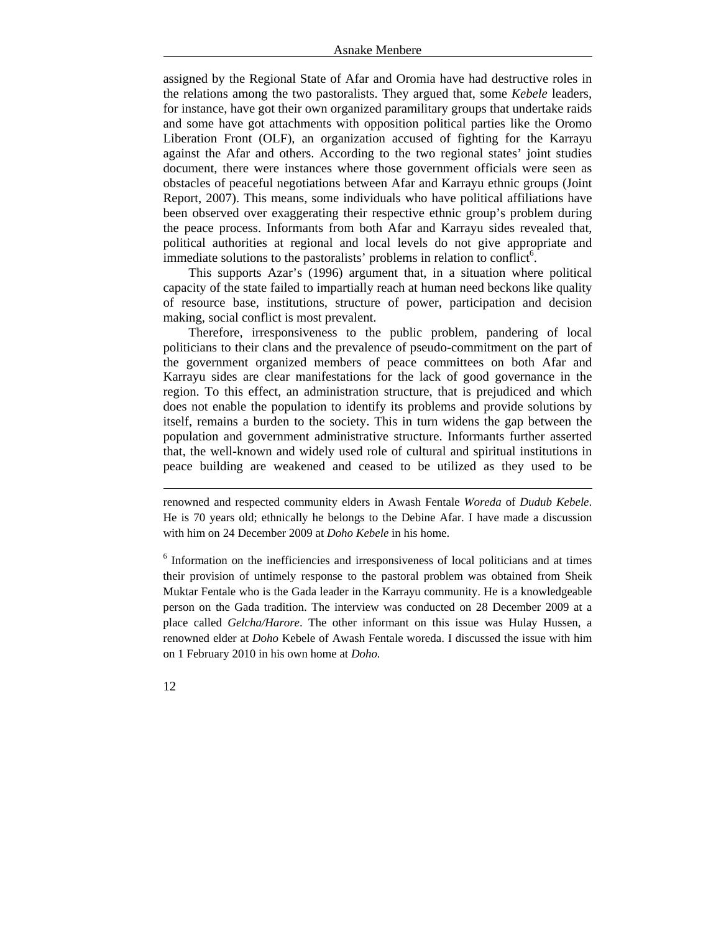assigned by the Regional State of Afar and Oromia have had destructive roles in the relations among the two pastoralists. They argued that, some *Kebele* leaders, for instance, have got their own organized paramilitary groups that undertake raids and some have got attachments with opposition political parties like the Oromo Liberation Front (OLF), an organization accused of fighting for the Karrayu against the Afar and others. According to the two regional states' joint studies document, there were instances where those government officials were seen as obstacles of peaceful negotiations between Afar and Karrayu ethnic groups (Joint Report, 2007). This means, some individuals who have political affiliations have been observed over exaggerating their respective ethnic group's problem during the peace process. Informants from both Afar and Karrayu sides revealed that, political authorities at regional and local levels do not give appropriate and immediate solutions to the pastoralists' problems in relation to conflict<sup>6</sup>.

This supports Azar's (1996) argument that, in a situation where political capacity of the state failed to impartially reach at human need beckons like quality of resource base, institutions, structure of power, participation and decision making, social conflict is most prevalent.

Therefore, irresponsiveness to the public problem, pandering of local politicians to their clans and the prevalence of pseudo-commitment on the part of the government organized members of peace committees on both Afar and Karrayu sides are clear manifestations for the lack of good governance in the region. To this effect, an administration structure, that is prejudiced and which does not enable the population to identify its problems and provide solutions by itself, remains a burden to the society. This in turn widens the gap between the population and government administrative structure. Informants further asserted that, the well-known and widely used role of cultural and spiritual institutions in peace building are weakened and ceased to be utilized as they used to be

renowned and respected community elders in Awash Fentale *Woreda* of *Dudub Kebele*. He is 70 years old; ethnically he belongs to the Debine Afar. I have made a discussion with him on 24 December 2009 at *Doho Kebele* in his home.

<u> 1989 - Johann Barn, fransk politik (d. 1989)</u>

<sup>6</sup> Information on the inefficiencies and irresponsiveness of local politicians and at times their provision of untimely response to the pastoral problem was obtained from Sheik Muktar Fentale who is the Gada leader in the Karrayu community. He is a knowledgeable person on the Gada tradition. The interview was conducted on 28 December 2009 at a place called *Gelcha/Harore*. The other informant on this issue was Hulay Hussen, a renowned elder at *Doho* Kebele of Awash Fentale woreda. I discussed the issue with him on 1 February 2010 in his own home at *Doho.*

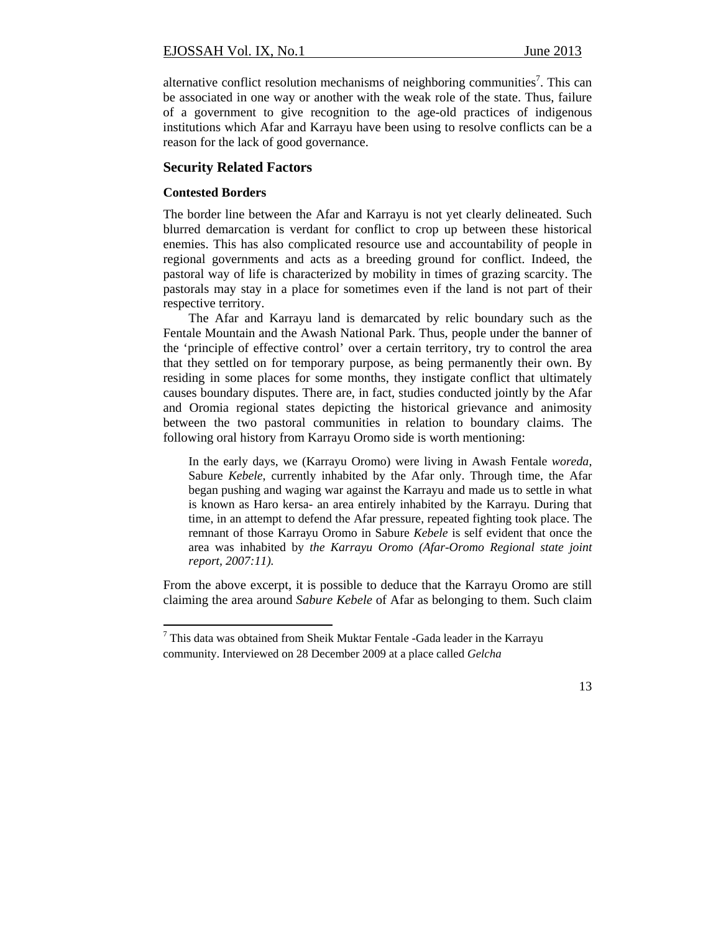alternative conflict resolution mechanisms of neighboring communities<sup>7</sup>. This can be associated in one way or another with the weak role of the state. Thus, failure of a government to give recognition to the age-old practices of indigenous institutions which Afar and Karrayu have been using to resolve conflicts can be a reason for the lack of good governance.

# **Security Related Factors**

#### **Contested Borders**

The border line between the Afar and Karrayu is not yet clearly delineated. Such blurred demarcation is verdant for conflict to crop up between these historical enemies. This has also complicated resource use and accountability of people in regional governments and acts as a breeding ground for conflict. Indeed, the pastoral way of life is characterized by mobility in times of grazing scarcity. The pastorals may stay in a place for sometimes even if the land is not part of their respective territory.

The Afar and Karrayu land is demarcated by relic boundary such as the Fentale Mountain and the Awash National Park. Thus, people under the banner of the 'principle of effective control' over a certain territory, try to control the area that they settled on for temporary purpose, as being permanently their own. By residing in some places for some months, they instigate conflict that ultimately causes boundary disputes. There are, in fact, studies conducted jointly by the Afar and Oromia regional states depicting the historical grievance and animosity between the two pastoral communities in relation to boundary claims. The following oral history from Karrayu Oromo side is worth mentioning:

In the early days, we (Karrayu Oromo) were living in Awash Fentale *woreda*, Sabure *Kebele*, currently inhabited by the Afar only. Through time, the Afar began pushing and waging war against the Karrayu and made us to settle in what is known as Haro kersa- an area entirely inhabited by the Karrayu. During that time, in an attempt to defend the Afar pressure, repeated fighting took place. The remnant of those Karrayu Oromo in Sabure *Kebele* is self evident that once the area was inhabited by *the Karrayu Oromo (Afar-Oromo Regional state joint report, 2007:11).* 

From the above excerpt, it is possible to deduce that the Karrayu Oromo are still claiming the area around *Sabure Kebele* of Afar as belonging to them. Such claim

 $7$  This data was obtained from Sheik Muktar Fentale -Gada leader in the Karrayu community. Interviewed on 28 December 2009 at a place called *Gelcha*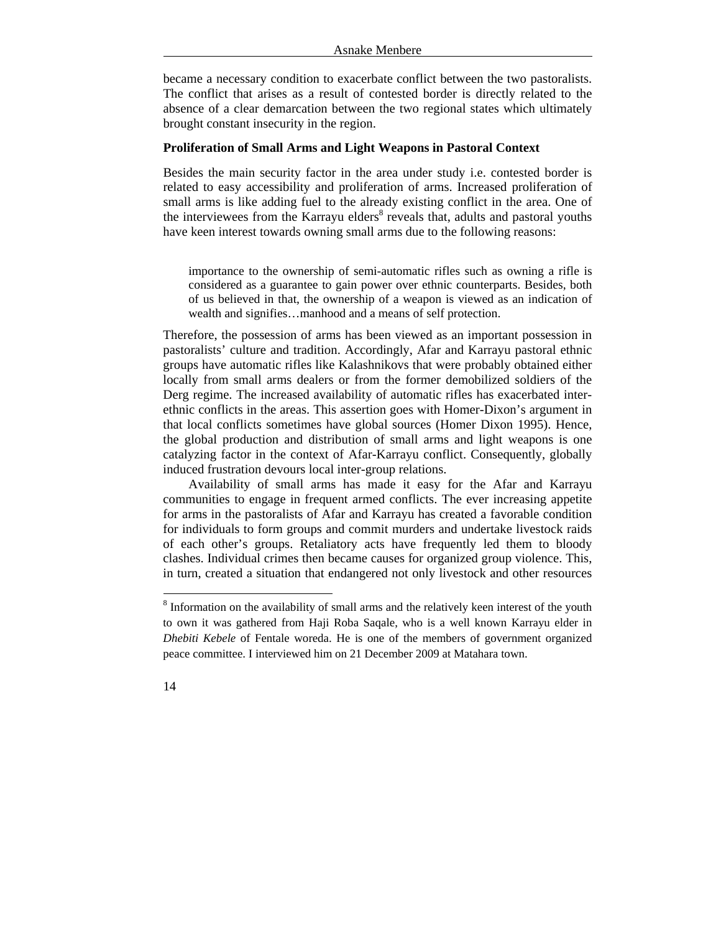became a necessary condition to exacerbate conflict between the two pastoralists. The conflict that arises as a result of contested border is directly related to the absence of a clear demarcation between the two regional states which ultimately brought constant insecurity in the region.

#### **Proliferation of Small Arms and Light Weapons in Pastoral Context**

Besides the main security factor in the area under study i.e. contested border is related to easy accessibility and proliferation of arms. Increased proliferation of small arms is like adding fuel to the already existing conflict in the area. One of the interviewees from the Karrayu elders<sup>8</sup> reveals that, adults and pastoral youths have keen interest towards owning small arms due to the following reasons:

importance to the ownership of semi-automatic rifles such as owning a rifle is considered as a guarantee to gain power over ethnic counterparts. Besides, both of us believed in that, the ownership of a weapon is viewed as an indication of wealth and signifies…manhood and a means of self protection.

Therefore, the possession of arms has been viewed as an important possession in pastoralists' culture and tradition. Accordingly, Afar and Karrayu pastoral ethnic groups have automatic rifles like Kalashnikovs that were probably obtained either locally from small arms dealers or from the former demobilized soldiers of the Derg regime. The increased availability of automatic rifles has exacerbated interethnic conflicts in the areas. This assertion goes with Homer-Dixon's argument in that local conflicts sometimes have global sources (Homer Dixon 1995). Hence, the global production and distribution of small arms and light weapons is one catalyzing factor in the context of Afar-Karrayu conflict. Consequently, globally induced frustration devours local inter-group relations.

Availability of small arms has made it easy for the Afar and Karrayu communities to engage in frequent armed conflicts. The ever increasing appetite for arms in the pastoralists of Afar and Karrayu has created a favorable condition for individuals to form groups and commit murders and undertake livestock raids of each other's groups. Retaliatory acts have frequently led them to bloody clashes. Individual crimes then became causes for organized group violence. This, in turn, created a situation that endangered not only livestock and other resources

 $8$  Information on the availability of small arms and the relatively keen interest of the youth to own it was gathered from Haji Roba Saqale, who is a well known Karrayu elder in *Dhebiti Kebele* of Fentale woreda. He is one of the members of government organized peace committee. I interviewed him on 21 December 2009 at Matahara town.

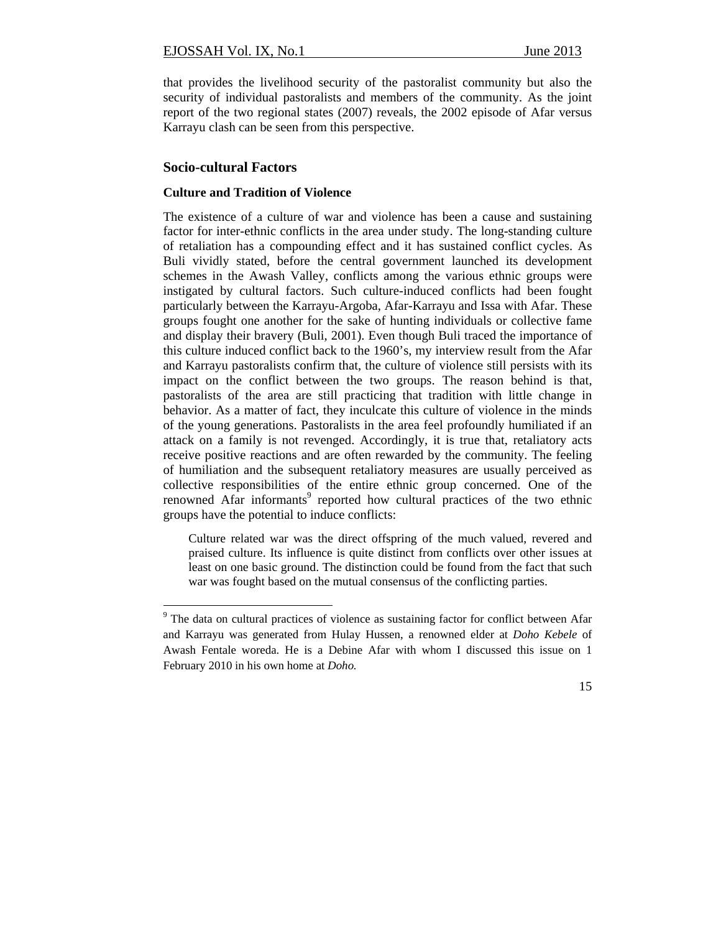that provides the livelihood security of the pastoralist community but also the security of individual pastoralists and members of the community. As the joint report of the two regional states (2007) reveals, the 2002 episode of Afar versus Karrayu clash can be seen from this perspective.

# **Socio-cultural Factors**

## **Culture and Tradition of Violence**

The existence of a culture of war and violence has been a cause and sustaining factor for inter-ethnic conflicts in the area under study. The long-standing culture of retaliation has a compounding effect and it has sustained conflict cycles. As Buli vividly stated, before the central government launched its development schemes in the Awash Valley, conflicts among the various ethnic groups were instigated by cultural factors. Such culture-induced conflicts had been fought particularly between the Karrayu-Argoba, Afar-Karrayu and Issa with Afar. These groups fought one another for the sake of hunting individuals or collective fame and display their bravery (Buli, 2001). Even though Buli traced the importance of this culture induced conflict back to the 1960's, my interview result from the Afar and Karrayu pastoralists confirm that, the culture of violence still persists with its impact on the conflict between the two groups. The reason behind is that, pastoralists of the area are still practicing that tradition with little change in behavior. As a matter of fact, they inculcate this culture of violence in the minds of the young generations. Pastoralists in the area feel profoundly humiliated if an attack on a family is not revenged. Accordingly, it is true that, retaliatory acts receive positive reactions and are often rewarded by the community. The feeling of humiliation and the subsequent retaliatory measures are usually perceived as collective responsibilities of the entire ethnic group concerned. One of the renowned Afar informants<sup>9</sup> reported how cultural practices of the two ethnic groups have the potential to induce conflicts:

Culture related war was the direct offspring of the much valued, revered and praised culture. Its influence is quite distinct from conflicts over other issues at least on one basic ground. The distinction could be found from the fact that such war was fought based on the mutual consensus of the conflicting parties.

<sup>&</sup>lt;sup>9</sup> The data on cultural practices of violence as sustaining factor for conflict between Afar and Karrayu was generated from Hulay Hussen, a renowned elder at *Doho Kebele* of Awash Fentale woreda. He is a Debine Afar with whom I discussed this issue on 1 February 2010 in his own home at *Doho.*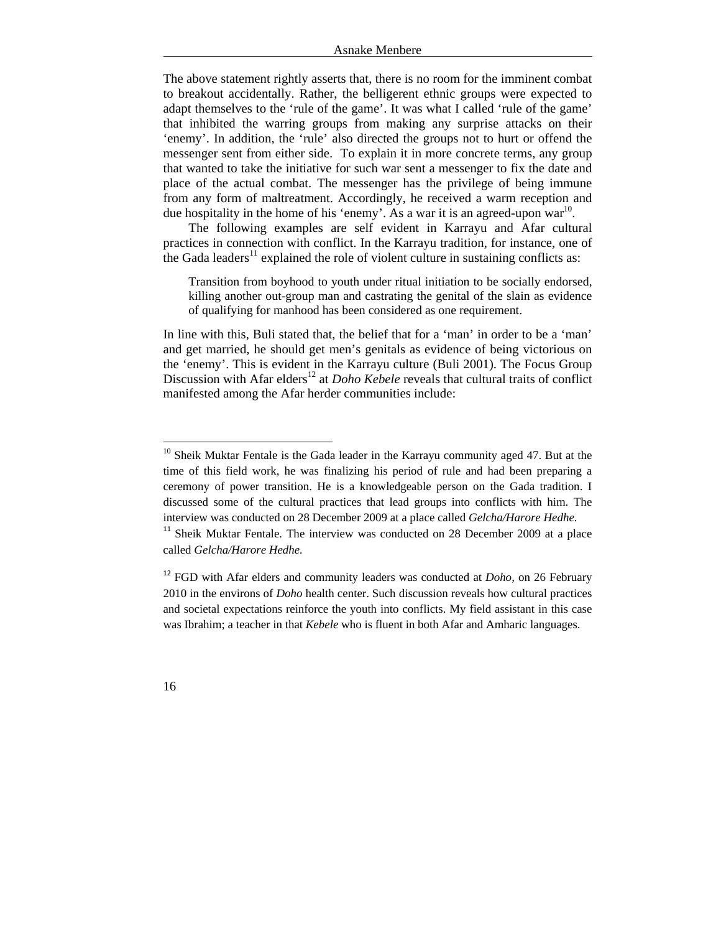The above statement rightly asserts that, there is no room for the imminent combat to breakout accidentally. Rather, the belligerent ethnic groups were expected to adapt themselves to the 'rule of the game'. It was what I called 'rule of the game' that inhibited the warring groups from making any surprise attacks on their 'enemy'. In addition, the 'rule' also directed the groups not to hurt or offend the messenger sent from either side. To explain it in more concrete terms, any group that wanted to take the initiative for such war sent a messenger to fix the date and place of the actual combat. The messenger has the privilege of being immune from any form of maltreatment. Accordingly, he received a warm reception and due hospitality in the home of his 'enemy'. As a war it is an agreed-upon war<sup>10</sup>.

The following examples are self evident in Karrayu and Afar cultural practices in connection with conflict. In the Karrayu tradition, for instance, one of the Gada leaders<sup>11</sup> explained the role of violent culture in sustaining conflicts as:

Transition from boyhood to youth under ritual initiation to be socially endorsed, killing another out-group man and castrating the genital of the slain as evidence of qualifying for manhood has been considered as one requirement.

In line with this, Buli stated that, the belief that for a 'man' in order to be a 'man' and get married, he should get men's genitals as evidence of being victorious on the 'enemy'. This is evident in the Karrayu culture (Buli 2001). The Focus Group Discussion with Afar elders<sup>12</sup> at *Doho Kebele* reveals that cultural traits of conflict manifested among the Afar herder communities include:



 $10$  Sheik Muktar Fentale is the Gada leader in the Karrayu community aged 47. But at the time of this field work, he was finalizing his period of rule and had been preparing a ceremony of power transition. He is a knowledgeable person on the Gada tradition. I discussed some of the cultural practices that lead groups into conflicts with him. The interview was conducted on 28 December 2009 at a place called *Gelcha/Harore Hedhe.*

 $11$  Sheik Muktar Fentale. The interview was conducted on 28 December 2009 at a place called *Gelcha/Harore Hedhe.*

<sup>&</sup>lt;sup>12</sup> FGD with Afar elders and community leaders was conducted at *Doho*, on 26 February 2010 in the environs of *Doho* health center. Such discussion reveals how cultural practices and societal expectations reinforce the youth into conflicts. My field assistant in this case was Ibrahim; a teacher in that *Kebele* who is fluent in both Afar and Amharic languages.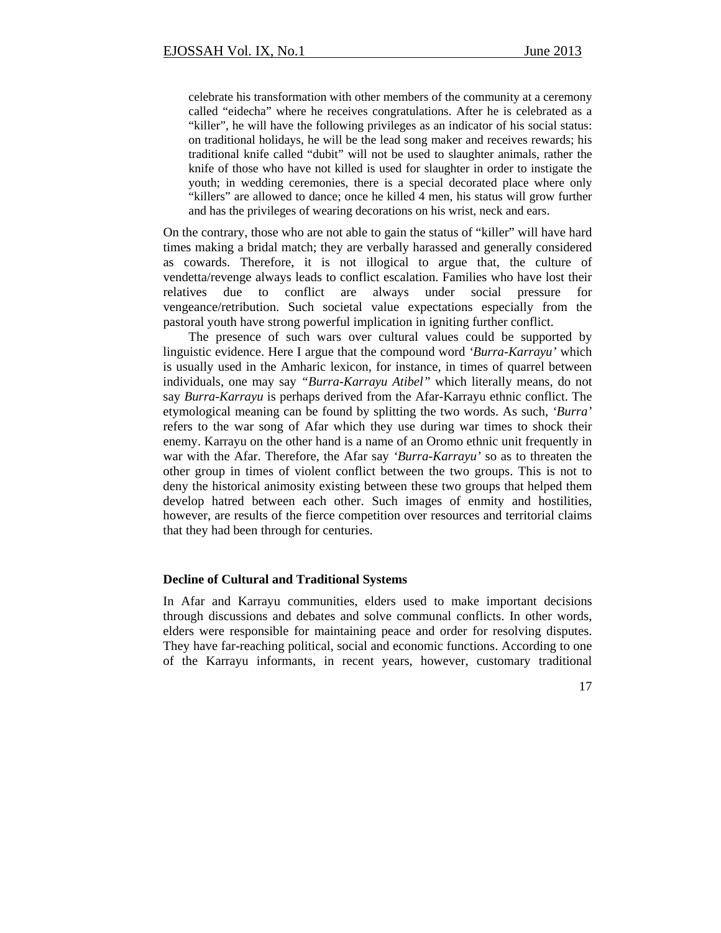celebrate his transformation with other members of the community at a ceremony called "eidecha" where he receives congratulations. After he is celebrated as a "killer", he will have the following privileges as an indicator of his social status: on traditional holidays, he will be the lead song maker and receives rewards; his traditional knife called "dubit" will not be used to slaughter animals, rather the knife of those who have not killed is used for slaughter in order to instigate the youth; in wedding ceremonies, there is a special decorated place where only "killers" are allowed to dance; once he killed 4 men, his status will grow further and has the privileges of wearing decorations on his wrist, neck and ears.

On the contrary, those who are not able to gain the status of "killer" will have hard times making a bridal match; they are verbally harassed and generally considered as cowards. Therefore, it is not illogical to argue that, the culture of vendetta/revenge always leads to conflict escalation. Families who have lost their relatives due to conflict are always under social pressure for vengeance/retribution. Such societal value expectations especially from the pastoral youth have strong powerful implication in igniting further conflict.

The presence of such wars over cultural values could be supported by linguistic evidence. Here I argue that the compound word *'Burra-Karrayu'* which is usually used in the Amharic lexicon, for instance, in times of quarrel between individuals, one may say *"Burra-Karrayu Atibel"* which literally means, do not say *Burra-Karrayu* is perhaps derived from the Afar-Karrayu ethnic conflict. The etymological meaning can be found by splitting the two words. As such, *'Burra'* refers to the war song of Afar which they use during war times to shock their enemy. Karrayu on the other hand is a name of an Oromo ethnic unit frequently in war with the Afar. Therefore, the Afar say *'Burra-Karrayu'* so as to threaten the other group in times of violent conflict between the two groups. This is not to deny the historical animosity existing between these two groups that helped them develop hatred between each other. Such images of enmity and hostilities, however, are results of the fierce competition over resources and territorial claims that they had been through for centuries.

## **Decline of Cultural and Traditional Systems**

In Afar and Karrayu communities, elders used to make important decisions through discussions and debates and solve communal conflicts. In other words, elders were responsible for maintaining peace and order for resolving disputes. They have far-reaching political, social and economic functions. According to one of the Karrayu informants, in recent years, however, customary traditional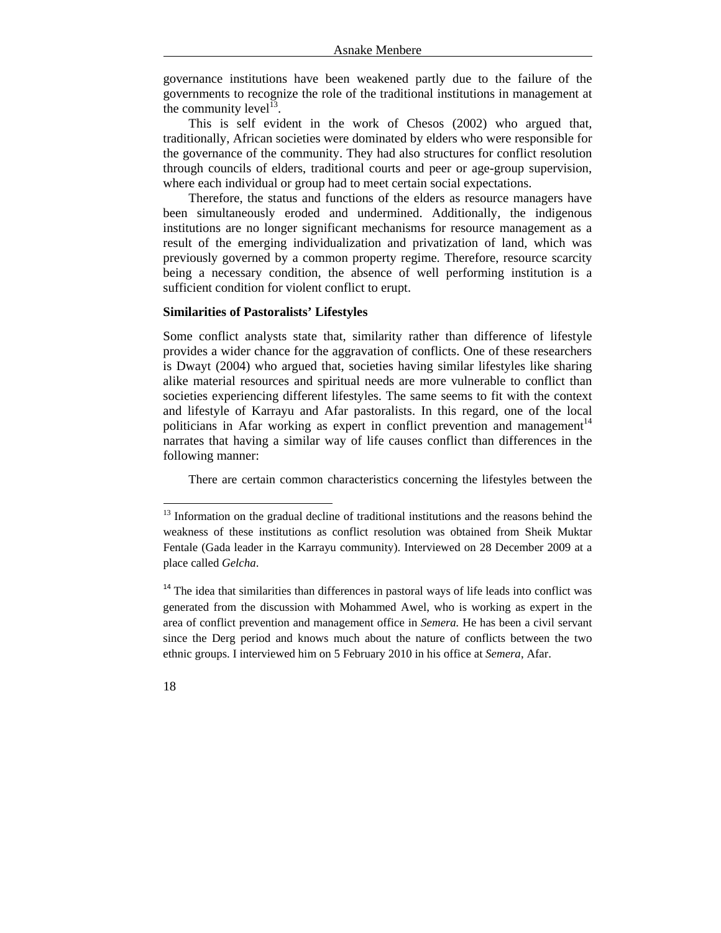governance institutions have been weakened partly due to the failure of the governments to recognize the role of the traditional institutions in management at the community level<sup>13</sup>.

This is self evident in the work of Chesos (2002) who argued that, traditionally, African societies were dominated by elders who were responsible for the governance of the community. They had also structures for conflict resolution through councils of elders, traditional courts and peer or age-group supervision, where each individual or group had to meet certain social expectations.

Therefore, the status and functions of the elders as resource managers have been simultaneously eroded and undermined. Additionally, the indigenous institutions are no longer significant mechanisms for resource management as a result of the emerging individualization and privatization of land, which was previously governed by a common property regime. Therefore, resource scarcity being a necessary condition, the absence of well performing institution is a sufficient condition for violent conflict to erupt.

## **Similarities of Pastoralists' Lifestyles**

Some conflict analysts state that, similarity rather than difference of lifestyle provides a wider chance for the aggravation of conflicts. One of these researchers is Dwayt (2004) who argued that, societies having similar lifestyles like sharing alike material resources and spiritual needs are more vulnerable to conflict than societies experiencing different lifestyles. The same seems to fit with the context and lifestyle of Karrayu and Afar pastoralists. In this regard, one of the local politicians in Afar working as expert in conflict prevention and management<sup>14</sup> narrates that having a similar way of life causes conflict than differences in the following manner:

There are certain common characteristics concerning the lifestyles between the

 $14$  The idea that similarities than differences in pastoral ways of life leads into conflict was generated from the discussion with Mohammed Awel, who is working as expert in the area of conflict prevention and management office in *Semera.* He has been a civil servant since the Derg period and knows much about the nature of conflicts between the two ethnic groups. I interviewed him on 5 February 2010 in his office at *Semera*, Afar.



 $13$  Information on the gradual decline of traditional institutions and the reasons behind the weakness of these institutions as conflict resolution was obtained from Sheik Muktar Fentale (Gada leader in the Karrayu community). Interviewed on 28 December 2009 at a place called *Gelcha*.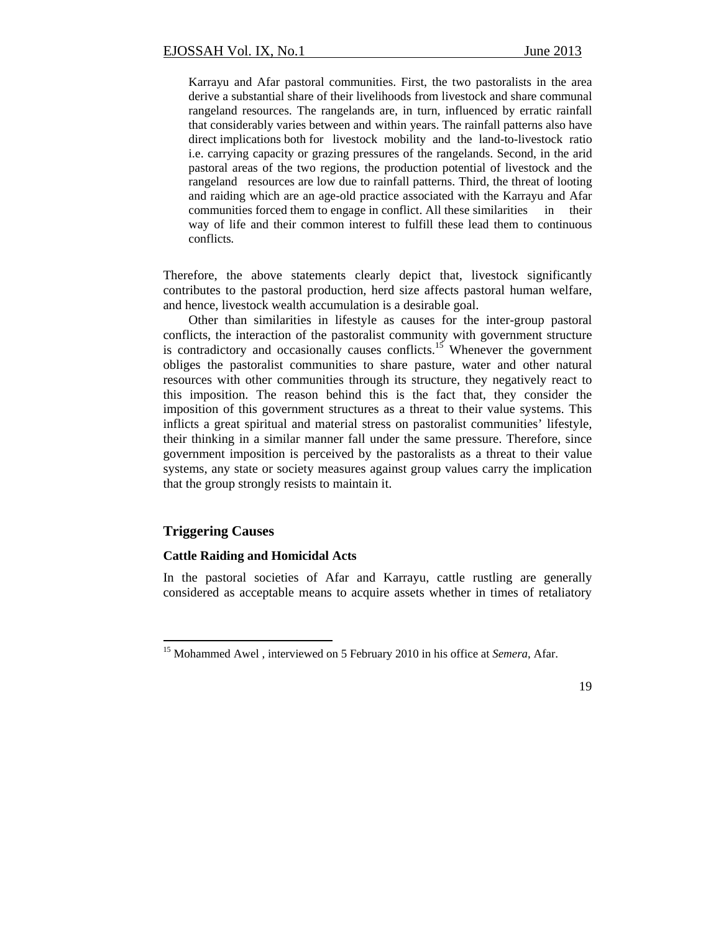Karrayu and Afar pastoral communities. First, the two pastoralists in the area derive a substantial share of their livelihoods from livestock and share communal rangeland resources. The rangelands are, in turn, influenced by erratic rainfall that considerably varies between and within years. The rainfall patterns also have direct implications both for livestock mobility and the land-to-livestock ratio i.e. carrying capacity or grazing pressures of the rangelands. Second, in the arid pastoral areas of the two regions, the production potential of livestock and the rangeland resources are low due to rainfall patterns. Third, the threat of looting and raiding which are an age-old practice associated with the Karrayu and Afar communities forced them to engage in conflict. All these similarities in their way of life and their common interest to fulfill these lead them to continuous conflicts*.* 

Therefore, the above statements clearly depict that, livestock significantly contributes to the pastoral production, herd size affects pastoral human welfare, and hence, livestock wealth accumulation is a desirable goal.

Other than similarities in lifestyle as causes for the inter-group pastoral conflicts, the interaction of the pastoralist community with government structure is contradictory and occasionally causes conflicts.<sup>15</sup> Whenever the government obliges the pastoralist communities to share pasture, water and other natural resources with other communities through its structure, they negatively react to this imposition. The reason behind this is the fact that, they consider the imposition of this government structures as a threat to their value systems. This inflicts a great spiritual and material stress on pastoralist communities' lifestyle, their thinking in a similar manner fall under the same pressure. Therefore, since government imposition is perceived by the pastoralists as a threat to their value systems, any state or society measures against group values carry the implication that the group strongly resists to maintain it.

# **Triggering Causes**

#### **Cattle Raiding and Homicidal Acts**

In the pastoral societies of Afar and Karrayu, cattle rustling are generally considered as acceptable means to acquire assets whether in times of retaliatory

<sup>&</sup>lt;sup>15</sup> Mohammed Awel, interviewed on 5 February 2010 in his office at *Semera*, Afar.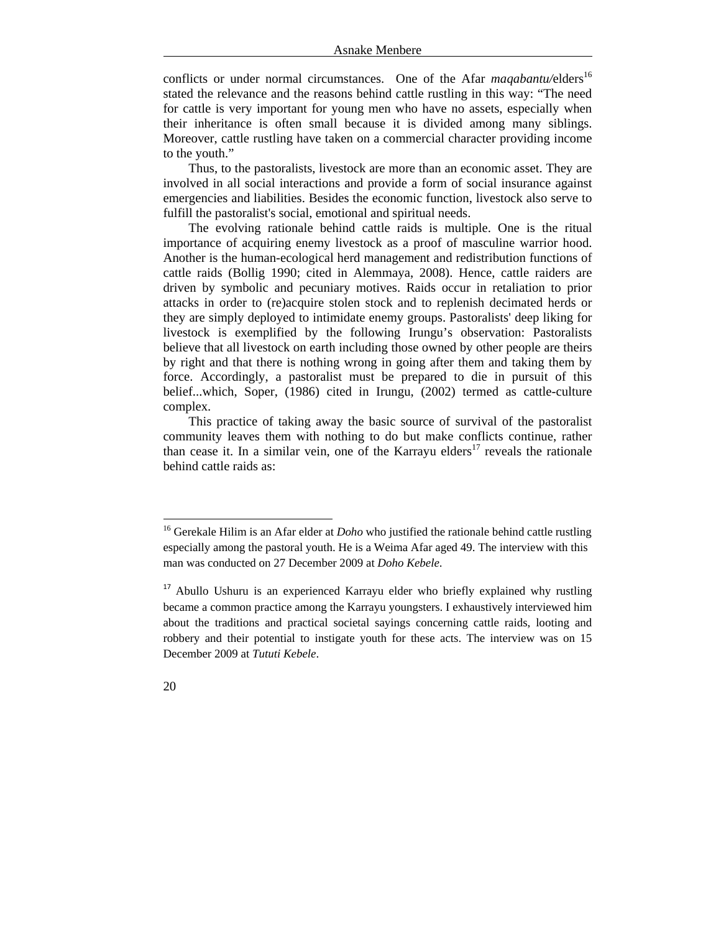conflicts or under normal circumstances. One of the Afar *magabantu*/elders<sup>16</sup> stated the relevance and the reasons behind cattle rustling in this way: "The need for cattle is very important for young men who have no assets, especially when their inheritance is often small because it is divided among many siblings. Moreover, cattle rustling have taken on a commercial character providing income to the youth."

Thus, to the pastoralists, livestock are more than an economic asset. They are involved in all social interactions and provide a form of social insurance against emergencies and liabilities. Besides the economic function, livestock also serve to fulfill the pastoralist's social, emotional and spiritual needs.

The evolving rationale behind cattle raids is multiple. One is the ritual importance of acquiring enemy livestock as a proof of masculine warrior hood. Another is the human-ecological herd management and redistribution functions of cattle raids (Bollig 1990; cited in Alemmaya, 2008). Hence, cattle raiders are driven by symbolic and pecuniary motives. Raids occur in retaliation to prior attacks in order to (re)acquire stolen stock and to replenish decimated herds or they are simply deployed to intimidate enemy groups. Pastoralists' deep liking for livestock is exemplified by the following Irungu's observation: Pastoralists believe that all livestock on earth including those owned by other people are theirs by right and that there is nothing wrong in going after them and taking them by force. Accordingly, a pastoralist must be prepared to die in pursuit of this belief...which, Soper, (1986) cited in Irungu, (2002) termed as cattle-culture complex.

This practice of taking away the basic source of survival of the pastoralist community leaves them with nothing to do but make conflicts continue, rather than cease it. In a similar vein, one of the Karrayu elders<sup>17</sup> reveals the rationale behind cattle raids as:

<sup>&</sup>lt;sup>17</sup> Abullo Ushuru is an experienced Karrayu elder who briefly explained why rustling became a common practice among the Karrayu youngsters. I exhaustively interviewed him about the traditions and practical societal sayings concerning cattle raids, looting and robbery and their potential to instigate youth for these acts. The interview was on 15 December 2009 at *Tututi Kebele*.



<sup>&</sup>lt;sup>16</sup> Gerekale Hilim is an Afar elder at *Doho* who justified the rationale behind cattle rustling especially among the pastoral youth. He is a Weima Afar aged 49. The interview with this man was conducted on 27 December 2009 at *Doho Kebele*.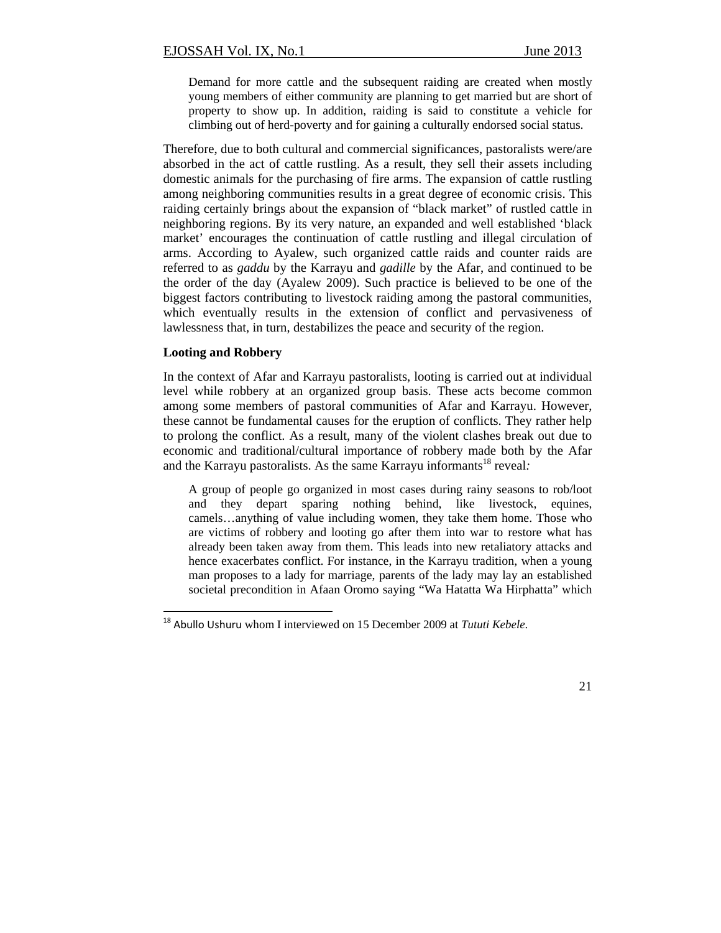Demand for more cattle and the subsequent raiding are created when mostly young members of either community are planning to get married but are short of property to show up. In addition, raiding is said to constitute a vehicle for climbing out of herd-poverty and for gaining a culturally endorsed social status.

Therefore, due to both cultural and commercial significances, pastoralists were/are absorbed in the act of cattle rustling. As a result, they sell their assets including domestic animals for the purchasing of fire arms. The expansion of cattle rustling among neighboring communities results in a great degree of economic crisis. This raiding certainly brings about the expansion of "black market" of rustled cattle in neighboring regions. By its very nature, an expanded and well established 'black market' encourages the continuation of cattle rustling and illegal circulation of arms. According to Ayalew, such organized cattle raids and counter raids are referred to as *gaddu* by the Karrayu and *gadille* by the Afar, and continued to be the order of the day (Ayalew 2009). Such practice is believed to be one of the biggest factors contributing to livestock raiding among the pastoral communities, which eventually results in the extension of conflict and pervasiveness of lawlessness that, in turn, destabilizes the peace and security of the region.

## **Looting and Robbery**

In the context of Afar and Karrayu pastoralists, looting is carried out at individual level while robbery at an organized group basis. These acts become common among some members of pastoral communities of Afar and Karrayu. However, these cannot be fundamental causes for the eruption of conflicts. They rather help to prolong the conflict. As a result, many of the violent clashes break out due to economic and traditional/cultural importance of robbery made both by the Afar and the Karrayu pastoralists. As the same Karrayu informants<sup>18</sup> reveal:

A group of people go organized in most cases during rainy seasons to rob/loot and they depart sparing nothing behind, like livestock, equines, camels…anything of value including women, they take them home. Those who are victims of robbery and looting go after them into war to restore what has already been taken away from them. This leads into new retaliatory attacks and hence exacerbates conflict. For instance, in the Karrayu tradition, when a young man proposes to a lady for marriage, parents of the lady may lay an established societal precondition in Afaan Oromo saying "Wa Hatatta Wa Hirphatta" which

<sup>18</sup> Abullo Ushuru whom I interviewed on 15 December 2009 at *Tututi Kebele*.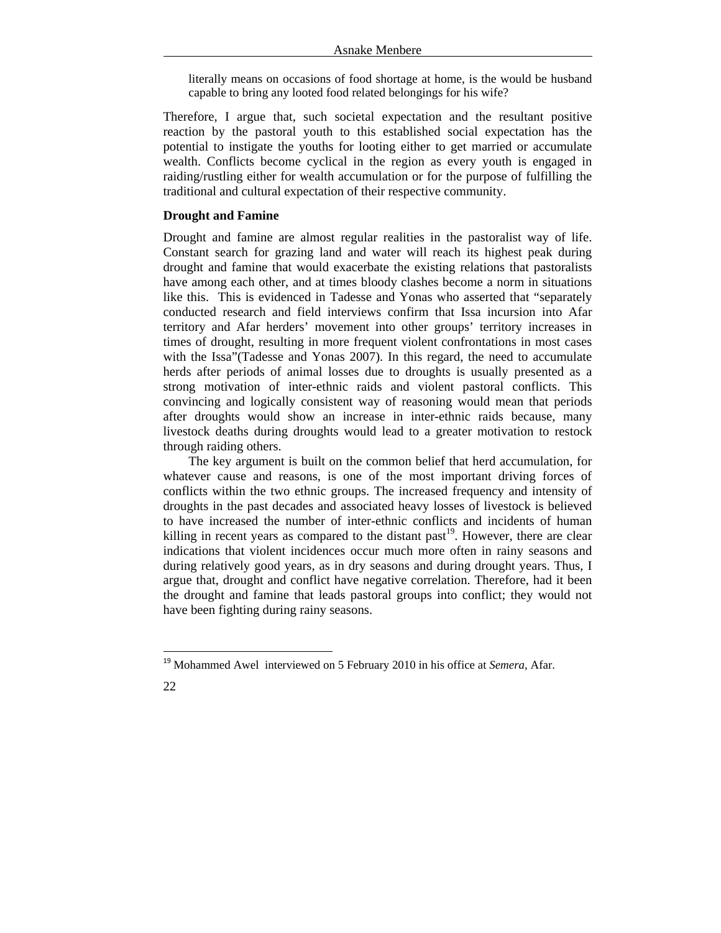literally means on occasions of food shortage at home, is the would be husband capable to bring any looted food related belongings for his wife?

Therefore, I argue that, such societal expectation and the resultant positive reaction by the pastoral youth to this established social expectation has the potential to instigate the youths for looting either to get married or accumulate wealth. Conflicts become cyclical in the region as every youth is engaged in raiding/rustling either for wealth accumulation or for the purpose of fulfilling the traditional and cultural expectation of their respective community.

## **Drought and Famine**

Drought and famine are almost regular realities in the pastoralist way of life. Constant search for grazing land and water will reach its highest peak during drought and famine that would exacerbate the existing relations that pastoralists have among each other, and at times bloody clashes become a norm in situations like this. This is evidenced in Tadesse and Yonas who asserted that "separately conducted research and field interviews confirm that Issa incursion into Afar territory and Afar herders' movement into other groups' territory increases in times of drought, resulting in more frequent violent confrontations in most cases with the Issa"(Tadesse and Yonas 2007). In this regard, the need to accumulate herds after periods of animal losses due to droughts is usually presented as a strong motivation of inter-ethnic raids and violent pastoral conflicts. This convincing and logically consistent way of reasoning would mean that periods after droughts would show an increase in inter-ethnic raids because, many livestock deaths during droughts would lead to a greater motivation to restock through raiding others.

The key argument is built on the common belief that herd accumulation, for whatever cause and reasons, is one of the most important driving forces of conflicts within the two ethnic groups. The increased frequency and intensity of droughts in the past decades and associated heavy losses of livestock is believed to have increased the number of inter-ethnic conflicts and incidents of human killing in recent years as compared to the distant past<sup>19</sup>. However, there are clear indications that violent incidences occur much more often in rainy seasons and during relatively good years, as in dry seasons and during drought years. Thus, I argue that, drought and conflict have negative correlation. Therefore, had it been the drought and famine that leads pastoral groups into conflict; they would not have been fighting during rainy seasons.

<sup>19</sup> Mohammed Awel interviewed on 5 February 2010 in his office at *Semera*, Afar.

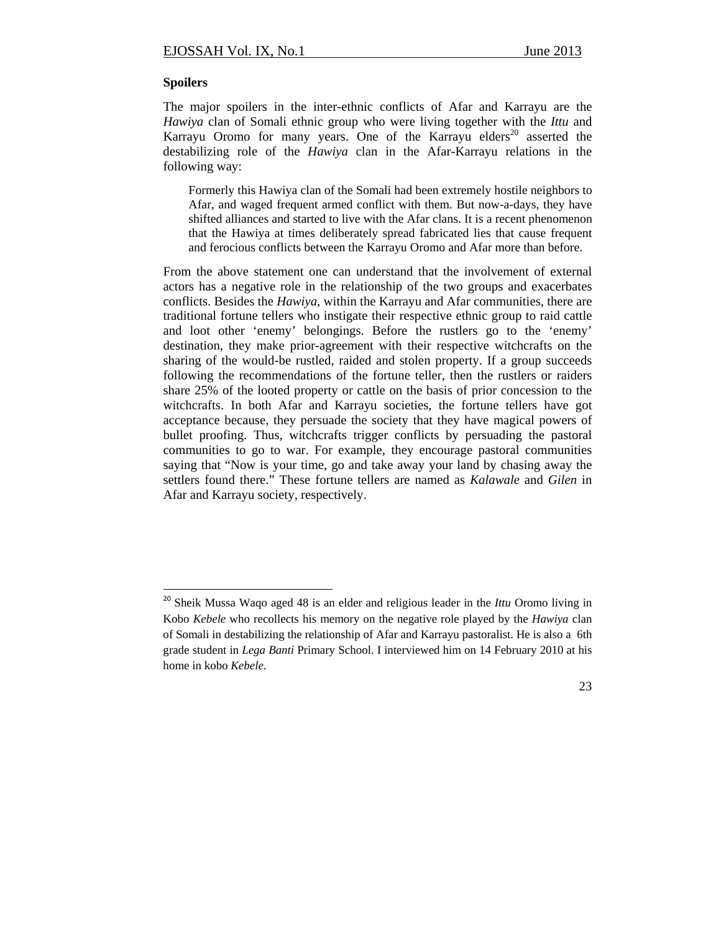#### **Spoilers**

The major spoilers in the inter-ethnic conflicts of Afar and Karrayu are the *Hawiya* clan of Somali ethnic group who were living together with the *Ittu* and Karrayu Oromo for many years. One of the Karrayu elders<sup>20</sup> asserted the destabilizing role of the *Hawiya* clan in the Afar-Karrayu relations in the following way:

Formerly this Hawiya clan of the Somali had been extremely hostile neighbors to Afar, and waged frequent armed conflict with them. But now-a-days, they have shifted alliances and started to live with the Afar clans. It is a recent phenomenon that the Hawiya at times deliberately spread fabricated lies that cause frequent and ferocious conflicts between the Karrayu Oromo and Afar more than before.

From the above statement one can understand that the involvement of external actors has a negative role in the relationship of the two groups and exacerbates conflicts. Besides the *Hawiya,* within the Karrayu and Afar communities, there are traditional fortune tellers who instigate their respective ethnic group to raid cattle and loot other 'enemy' belongings. Before the rustlers go to the 'enemy' destination, they make prior-agreement with their respective witchcrafts on the sharing of the would-be rustled, raided and stolen property. If a group succeeds following the recommendations of the fortune teller, then the rustlers or raiders share 25% of the looted property or cattle on the basis of prior concession to the witchcrafts. In both Afar and Karrayu societies, the fortune tellers have got acceptance because, they persuade the society that they have magical powers of bullet proofing. Thus, witchcrafts trigger conflicts by persuading the pastoral communities to go to war. For example, they encourage pastoral communities saying that "Now is your time, go and take away your land by chasing away the settlers found there." These fortune tellers are named as *Kalawale* and *Gilen* in Afar and Karrayu society, respectively.

<sup>20</sup> Sheik Mussa Waqo aged 48 is an elder and religious leader in the *Ittu* Oromo living in Kobo *Kebele* who recollects his memory on the negative role played by the *Hawiya* clan of Somali in destabilizing the relationship of Afar and Karrayu pastoralist. He is also a 6th grade student in *Lega Banti* Primary School. I interviewed him on 14 February 2010 at his home in kobo *Kebele*.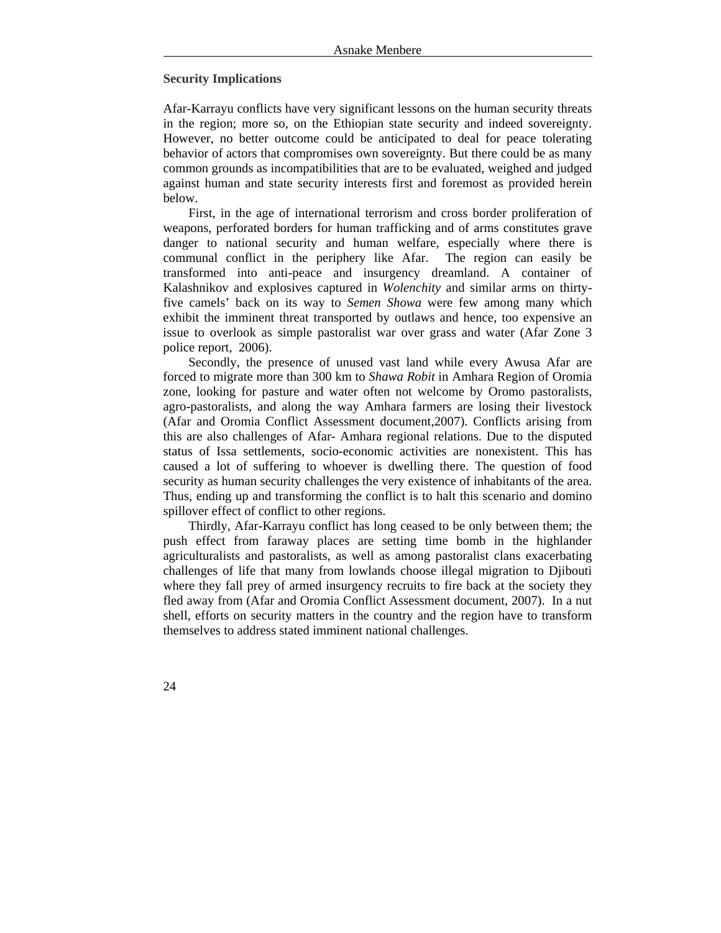## **Security Implications**

Afar-Karrayu conflicts have very significant lessons on the human security threats in the region; more so, on the Ethiopian state security and indeed sovereignty. However, no better outcome could be anticipated to deal for peace tolerating behavior of actors that compromises own sovereignty. But there could be as many common grounds as incompatibilities that are to be evaluated, weighed and judged against human and state security interests first and foremost as provided herein below.

First, in the age of international terrorism and cross border proliferation of weapons, perforated borders for human trafficking and of arms constitutes grave danger to national security and human welfare, especially where there is communal conflict in the periphery like Afar. The region can easily be transformed into anti-peace and insurgency dreamland. A container of Kalashnikov and explosives captured in *Wolenchity* and similar arms on thirtyfive camels' back on its way to *Semen Showa* were few among many which exhibit the imminent threat transported by outlaws and hence, too expensive an issue to overlook as simple pastoralist war over grass and water (Afar Zone 3 police report, 2006).

Secondly, the presence of unused vast land while every Awusa Afar are forced to migrate more than 300 km to *Shawa Robit* in Amhara Region of Oromia zone, looking for pasture and water often not welcome by Oromo pastoralists, agro-pastoralists, and along the way Amhara farmers are losing their livestock (Afar and Oromia Conflict Assessment document,2007). Conflicts arising from this are also challenges of Afar- Amhara regional relations. Due to the disputed status of Issa settlements, socio-economic activities are nonexistent. This has caused a lot of suffering to whoever is dwelling there. The question of food security as human security challenges the very existence of inhabitants of the area. Thus, ending up and transforming the conflict is to halt this scenario and domino spillover effect of conflict to other regions.

Thirdly, Afar-Karrayu conflict has long ceased to be only between them; the push effect from faraway places are setting time bomb in the highlander agriculturalists and pastoralists, as well as among pastoralist clans exacerbating challenges of life that many from lowlands choose illegal migration to Djibouti where they fall prey of armed insurgency recruits to fire back at the society they fled away from (Afar and Oromia Conflict Assessment document, 2007). In a nut shell, efforts on security matters in the country and the region have to transform themselves to address stated imminent national challenges.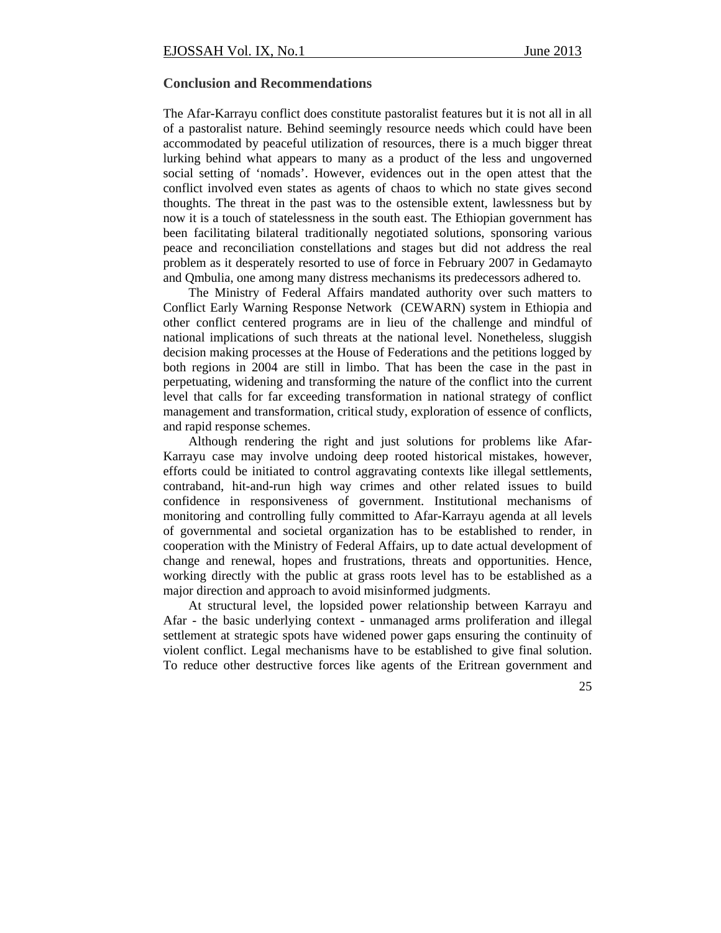# **Conclusion and Recommendations**

The Afar-Karrayu conflict does constitute pastoralist features but it is not all in all of a pastoralist nature. Behind seemingly resource needs which could have been accommodated by peaceful utilization of resources, there is a much bigger threat lurking behind what appears to many as a product of the less and ungoverned social setting of 'nomads'. However, evidences out in the open attest that the conflict involved even states as agents of chaos to which no state gives second thoughts. The threat in the past was to the ostensible extent, lawlessness but by now it is a touch of statelessness in the south east. The Ethiopian government has been facilitating bilateral traditionally negotiated solutions, sponsoring various peace and reconciliation constellations and stages but did not address the real problem as it desperately resorted to use of force in February 2007 in Gedamayto and Qmbulia, one among many distress mechanisms its predecessors adhered to.

The Ministry of Federal Affairs mandated authority over such matters to Conflict Early Warning Response Network (CEWARN) system in Ethiopia and other conflict centered programs are in lieu of the challenge and mindful of national implications of such threats at the national level. Nonetheless, sluggish decision making processes at the House of Federations and the petitions logged by both regions in 2004 are still in limbo. That has been the case in the past in perpetuating, widening and transforming the nature of the conflict into the current level that calls for far exceeding transformation in national strategy of conflict management and transformation, critical study, exploration of essence of conflicts, and rapid response schemes.

Although rendering the right and just solutions for problems like Afar-Karrayu case may involve undoing deep rooted historical mistakes, however, efforts could be initiated to control aggravating contexts like illegal settlements, contraband, hit-and-run high way crimes and other related issues to build confidence in responsiveness of government. Institutional mechanisms of monitoring and controlling fully committed to Afar-Karrayu agenda at all levels of governmental and societal organization has to be established to render, in cooperation with the Ministry of Federal Affairs, up to date actual development of change and renewal, hopes and frustrations, threats and opportunities. Hence, working directly with the public at grass roots level has to be established as a major direction and approach to avoid misinformed judgments.

At structural level, the lopsided power relationship between Karrayu and Afar - the basic underlying context - unmanaged arms proliferation and illegal settlement at strategic spots have widened power gaps ensuring the continuity of violent conflict. Legal mechanisms have to be established to give final solution. To reduce other destructive forces like agents of the Eritrean government and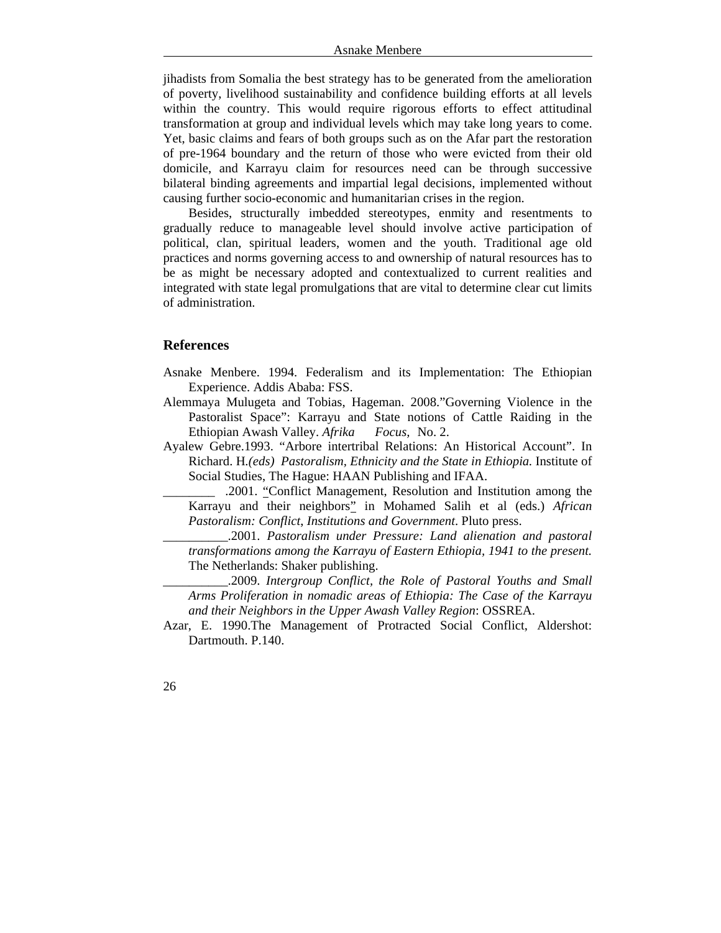jihadists from Somalia the best strategy has to be generated from the amelioration of poverty, livelihood sustainability and confidence building efforts at all levels within the country. This would require rigorous efforts to effect attitudinal transformation at group and individual levels which may take long years to come. Yet, basic claims and fears of both groups such as on the Afar part the restoration of pre-1964 boundary and the return of those who were evicted from their old domicile, and Karrayu claim for resources need can be through successive bilateral binding agreements and impartial legal decisions, implemented without causing further socio-economic and humanitarian crises in the region.

Besides, structurally imbedded stereotypes, enmity and resentments to gradually reduce to manageable level should involve active participation of political, clan, spiritual leaders, women and the youth. Traditional age old practices and norms governing access to and ownership of natural resources has to be as might be necessary adopted and contextualized to current realities and integrated with state legal promulgations that are vital to determine clear cut limits of administration.

## **References**

- Asnake Menbere. 1994. Federalism and its Implementation: The Ethiopian Experience. Addis Ababa: FSS.
- Alemmaya Mulugeta and Tobias, Hageman. 2008."Governing Violence in the Pastoralist Space": Karrayu and State notions of Cattle Raiding in the Ethiopian Awash Valley. *Afrika Focus,* No. 2.
- Ayalew Gebre.1993. "Arbore intertribal Relations: An Historical Account". In Richard. H*.(eds) Pastoralism, Ethnicity and the State in Ethiopia.* Institute of Social Studies, The Hague: HAAN Publishing and IFAA.
	- \_\_\_\_\_\_\_\_ .2001. "Conflict Management, Resolution and Institution among the Karrayu and their neighbors" in Mohamed Salih et al (eds.) *African Pastoralism: Conflict*, *Institutions and Government*. Pluto press.
	- \_\_\_\_\_\_\_\_\_\_.2001. *Pastoralism under Pressure: Land alienation and pastoral transformations among the Karrayu of Eastern Ethiopia, 1941 to the present.* The Netherlands: Shaker publishing.
	- \_\_\_\_\_\_\_\_\_\_.2009. *Intergroup Conflict, the Role of Pastoral Youths and Small Arms Proliferation in nomadic areas of Ethiopia: The Case of the Karrayu and their Neighbors in the Upper Awash Valley Region*: OSSREA.
- Azar, E. 1990.The Management of Protracted Social Conflict, Aldershot: Dartmouth. P.140.
- 26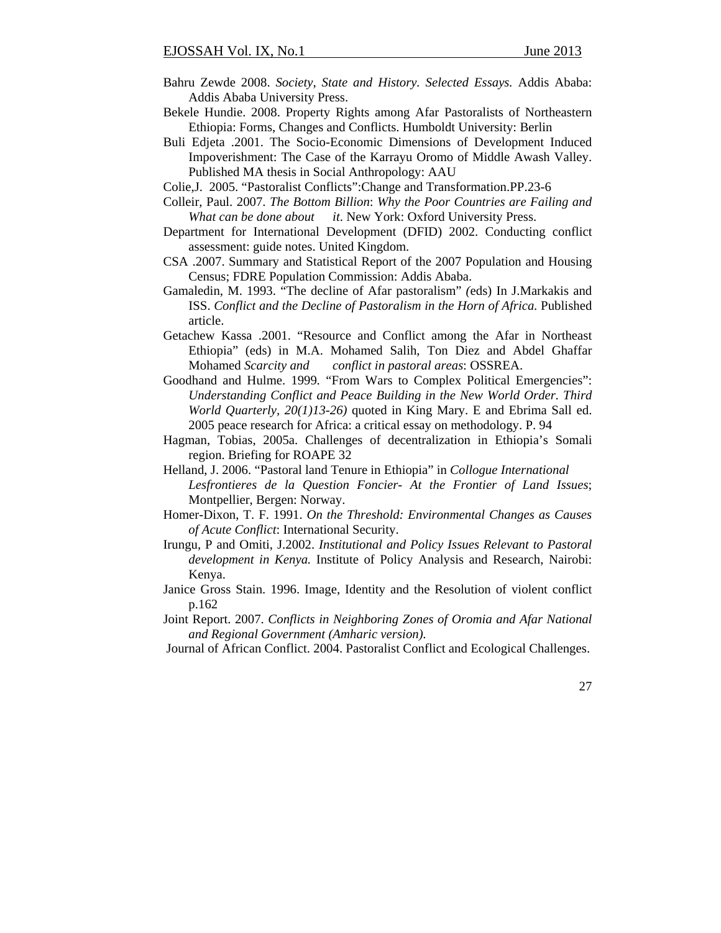- Bahru Zewde 2008. *Society, State and History. Selected Essays.* Addis Ababa: Addis Ababa University Press.
- Bekele Hundie. 2008. Property Rights among Afar Pastoralists of Northeastern Ethiopia: Forms, Changes and Conflicts. Humboldt University: Berlin
- Buli Edjeta .2001. The Socio-Economic Dimensions of Development Induced Impoverishment: The Case of the Karrayu Oromo of Middle Awash Valley. Published MA thesis in Social Anthropology: AAU
- Colie,J. 2005. "Pastoralist Conflicts":Change and Transformation.PP.23-6
- Colleir, Paul. 2007. *The Bottom Billion*: *Why the Poor Countries are Failing and What can be done about it*. New York: Oxford University Press.
- Department for International Development (DFID) 2002. Conducting conflict assessment: guide notes. United Kingdom.
- CSA .2007. Summary and Statistical Report of the 2007 Population and Housing Census; FDRE Population Commission: Addis Ababa.
- Gamaledin, M. 1993. "The decline of Afar pastoralism" *(*eds) In J.Markakis and ISS. *Conflict and the Decline of Pastoralism in the Horn of Africa.* Published article.
- Getachew Kassa .2001. "Resource and Conflict among the Afar in Northeast Ethiopia" (eds) in M.A. Mohamed Salih, Ton Diez and Abdel Ghaffar Mohamed *Scarcity and conflict in pastoral areas*: OSSREA.
- Goodhand and Hulme. 1999*.* "From Wars to Complex Political Emergencies": *Understanding Conflict and Peace Building in the New World Order. Third World Quarterly, 20(1)13-26)* quoted in King Mary. E and Ebrima Sall ed. 2005 peace research for Africa: a critical essay on methodology. P. 94
- Hagman, Tobias, 2005a. Challenges of decentralization in Ethiopia's Somali region. Briefing for ROAPE 32
- Helland, J. 2006. "Pastoral land Tenure in Ethiopia" in *Collogue International Lesfrontieres de la Question Foncier- At the Frontier of Land Issues*; Montpellier, Bergen: Norway.
- Homer-Dixon, T. F. 1991. *On the Threshold: Environmental Changes as Causes of Acute Conflict*: International Security.
- Irungu, P and Omiti, J.2002. *Institutional and Policy Issues Relevant to Pastoral development in Kenya.* Institute of Policy Analysis and Research, Nairobi: Kenya.
- Janice Gross Stain. 1996. Image, Identity and the Resolution of violent conflict p.162
- Joint Report. 2007. *Conflicts in Neighboring Zones of Oromia and Afar National and Regional Government (Amharic version).*
- Journal of African Conflict. 2004. Pastoralist Conflict and Ecological Challenges.